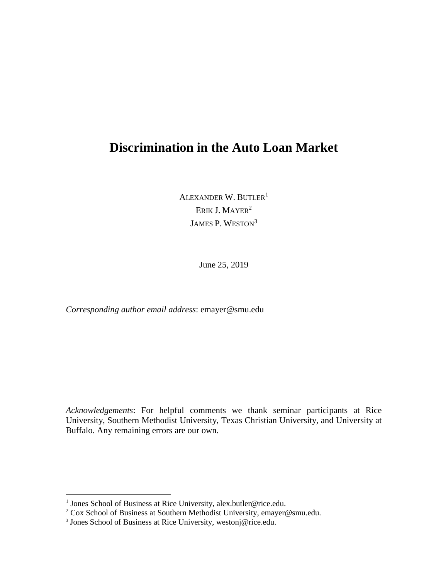# **Discrimination in the Auto Loan Market**

ALEXANDER W. BUTLER<sup>1</sup> ERIK J. MAYER<sup>2</sup> JAMES P. WESTON<sup>3</sup>

June 25, 2019

*Corresponding author email address*: emayer@smu.edu

*Acknowledgements*: For helpful comments we thank seminar participants at Rice University, Southern Methodist University, Texas Christian University, and University at Buffalo. Any remaining errors are our own.

<sup>&</sup>lt;sup>1</sup> Jones School of Business at Rice University, alex.butler@rice.edu.

<sup>&</sup>lt;sup>2</sup> Cox School of Business at Southern Methodist University, emayer@smu.edu. <sup>3</sup> Jones School of Business at Rice University, westonj@rice.edu.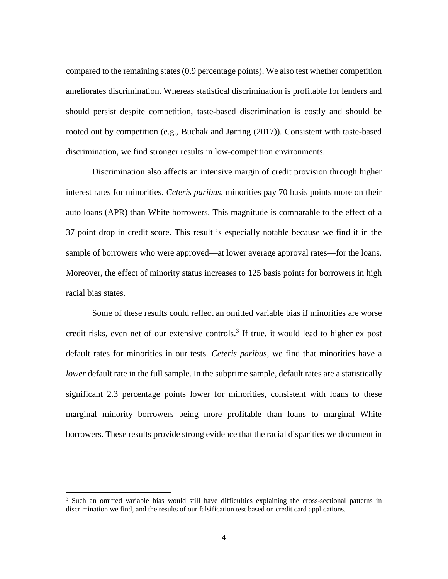compared to the remaining states (0.9 percentage points). We also test whether competition should persist despite competition, taste-based discrimination is costly and should be ameliorates discrimination. Whereas statistical discrimination is profitable for lenders and rooted out by competition (e.g., Buchak and Jørring (2017)). Consistent with taste-based discrimination, we find stronger results in low-competition environments.

 Discrimination also affects an intensive margin of credit provision through higher interest rates for minorities. *Ceteris paribus*, minorities pay 70 basis points more on their 37 point drop in credit score. This result is especially notable because we find it in the sample of borrowers who were approved—at lower average approval rates—for the loans. auto loans (APR) than White borrowers. This magnitude is comparable to the effect of a Moreover, the effect of minority status increases to 125 basis points for borrowers in high racial bias states.

 Some of these results could reflect an omitted variable bias if minorities are worse credit risks, even net of our extensive controls. 3 If true, it would lead to higher ex post default rates for minorities in our tests. *Ceteris paribus*, we find that minorities have a *lower* default rate in the full sample. In the subprime sample, default rates are a statistically marginal minority borrowers being more profitable than loans to marginal White significant 2.3 percentage points lower for minorities, consistent with loans to these borrowers. These results provide strong evidence that the racial disparities we document in

<sup>&</sup>lt;sup>3</sup> Such an omitted variable bias would still have difficulties explaining the cross-sectional patterns in discrimination we find, and the results of our falsification test based on credit card applications.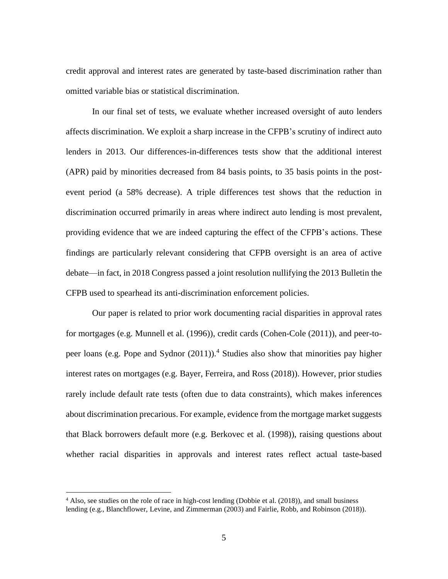credit approval and interest rates are generated by taste-based discrimination rather than omitted variable bias or statistical discrimination.

 In our final set of tests, we evaluate whether increased oversight of auto lenders discrimination occurred primarily in areas where indirect auto lending is most prevalent, providing evidence that we are indeed capturing the effect of the CFPB's actions. These findings are particularly relevant considering that CFPB oversight is an area of active affects discrimination. We exploit a sharp increase in the CFPB's scrutiny of indirect auto lenders in 2013. Our differences-in-differences tests show that the additional interest (APR) paid by minorities decreased from 84 basis points, to 35 basis points in the postevent period (a 58% decrease). A triple differences test shows that the reduction in debate—in fact, in 2018 Congress passed a joint resolution nullifying the 2013 Bulletin the CFPB used to spearhead its anti-discrimination enforcement policies.

 rarely include default rate tests (often due to data constraints), which makes inferences that Black borrowers default more (e.g. Berkovec et al. (1998)), raising questions about Our paper is related to prior work documenting racial disparities in approval rates for mortgages (e.g. Munnell et al. (1996)), credit cards (Cohen-Cole (2011)), and peer-topeer loans (e.g. Pope and Sydnor (2011)). 4 Studies also show that minorities pay higher interest rates on mortgages (e.g. Bayer, Ferreira, and Ross (2018)). However, prior studies about discrimination precarious. For example, evidence from the mortgage market suggests whether racial disparities in approvals and interest rates reflect actual taste-based

<sup>4</sup> Also, see studies on the role of race in high-cost lending (Dobbie et al. (2018)), and small business lending (e.g., Blanchflower, Levine, and Zimmerman (2003) and Fairlie, Robb, and Robinson (2018)).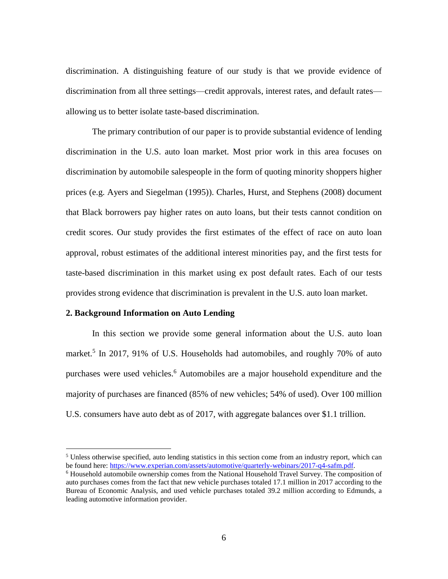discrimination. A distinguishing feature of our study is that we provide evidence of discrimination from all three settings—credit approvals, interest rates, and default rates allowing us to better isolate taste-based discrimination.

 credit scores. Our study provides the first estimates of the effect of race on auto loan The primary contribution of our paper is to provide substantial evidence of lending discrimination in the U.S. auto loan market. Most prior work in this area focuses on discrimination by automobile salespeople in the form of quoting minority shoppers higher prices (e.g. Ayers and Siegelman (1995)). Charles, Hurst, and Stephens (2008) document that Black borrowers pay higher rates on auto loans, but their tests cannot condition on approval, robust estimates of the additional interest minorities pay, and the first tests for taste-based discrimination in this market using ex post default rates. Each of our tests provides strong evidence that discrimination is prevalent in the U.S. auto loan market.

# **2. Background Information on Auto Lending**

 $\overline{a}$ 

 In this section we provide some general information about the U.S. auto loan market.<sup>5</sup> In 2017, 91% of U.S. Households had automobiles, and roughly 70% of auto purchases were used vehicles. 6 Automobiles are a major household expenditure and the majority of purchases are financed (85% of new vehicles; 54% of used). Over 100 million U.S. consumers have auto debt as of 2017, with aggregate balances over \$1.1 trillion.

<sup>&</sup>lt;sup>5</sup> Unless otherwise specified, auto lending statistics in this section come from an industry report, which can be found here: [https://www.experian.com/assets/automotive/quarterly-webinars/2017-q4-safm.pdf.](https://www.experian.com/assets/automotive/quarterly-webinars/2017-q4-safm.pdf)<br><sup>6</sup> Household automobile ownership comes from the National Household Travel Survey. The composition of

auto purchases comes from the fact that new vehicle purchases totaled 17.1 million in 2017 according to the Bureau of Economic Analysis, and used vehicle purchases totaled 39.2 million according to Edmunds, a leading automotive information provider.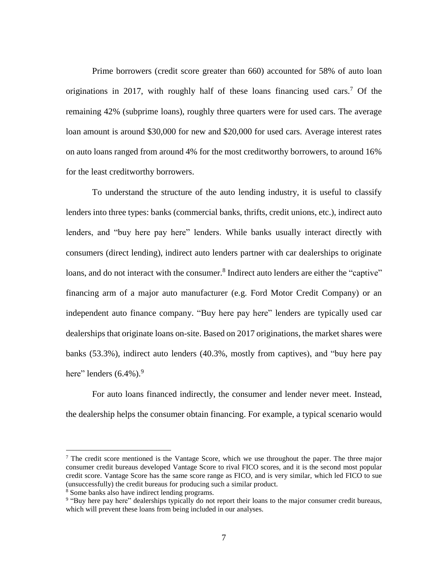originations in 2017, with roughly half of these loans financing used cars. 7 Of the remaining 42% (subprime loans), roughly three quarters were for used cars. The average loan amount is around \$30,000 for new and \$20,000 for used cars. Average interest rates on auto loans ranged from around 4% for the most creditworthy borrowers, to around 16% Prime borrowers (credit score greater than 660) accounted for 58% of auto loan for the least creditworthy borrowers.

 To understand the structure of the auto lending industry, it is useful to classify lenders, and "buy here pay here" lenders. While banks usually interact directly with loans, and do not interact with the consumer.<sup>8</sup> Indirect auto lenders are either the "captive" independent auto finance company. "Buy here pay here" lenders are typically used car banks (53.3%), indirect auto lenders (40.3%, mostly from captives), and "buy here pay lenders into three types: banks (commercial banks, thrifts, credit unions, etc.), indirect auto consumers (direct lending), indirect auto lenders partner with car dealerships to originate financing arm of a major auto manufacturer (e.g. Ford Motor Credit Company) or an dealerships that originate loans on-site. Based on 2017 originations, the market shares were here" lenders  $(6.4\%)$ .

For auto loans financed indirectly, the consumer and lender never meet. Instead, the dealership helps the consumer obtain financing. For example, a typical scenario would

 $<sup>7</sup>$  The credit score mentioned is the Vantage Score, which we use throughout the paper. The three major</sup> consumer credit bureaus developed Vantage Score to rival FICO scores, and it is the second most popular credit score. Vantage Score has the same score range as FICO, and is very similar, which led FICO to sue (unsuccessfully) the credit bureaus for producing such a similar product.<br>
<sup>8</sup> Some banks also have indirect lending programs.<br>
<sup>9</sup> "Buy here pay here" dealerships typically do not report their loans to the major consumer

which will prevent these loans from being included in our analyses.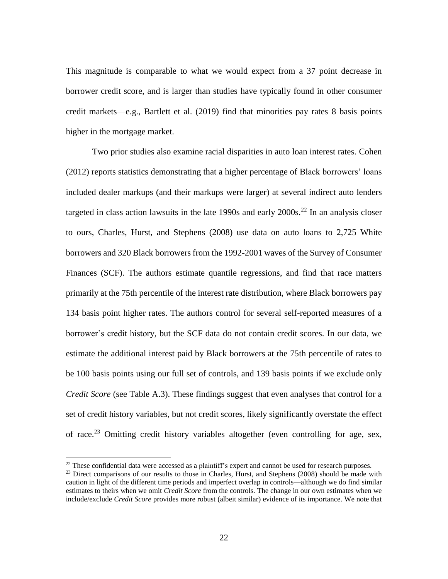This magnitude is comparable to what we would expect from a 37 point decrease in borrower credit score, and is larger than studies have typically found in other consumer credit markets—e.g., Bartlett et al. (2019) find that minorities pay rates 8 basis points higher in the mortgage market.

targeted in class action lawsuits in the late 1990s and early  $2000s$ .<sup>22</sup> In an analysis closer borrowers and 320 Black borrowers from the 1992-2001 waves of the Survey of Consumer 134 basis point higher rates. The authors control for several self-reported measures of a borrower's credit history, but the SCF data do not contain credit scores. In our data, we *Credit Score* (see Table A.3). These findings suggest that even analyses that control for a of race.<sup>23</sup> Omitting credit history variables altogether (even controlling for age, sex, Two prior studies also examine racial disparities in auto loan interest rates. Cohen (2012) reports statistics demonstrating that a higher percentage of Black borrowers' loans included dealer markups (and their markups were larger) at several indirect auto lenders to ours, Charles, Hurst, and Stephens (2008) use data on auto loans to 2,725 White Finances (SCF). The authors estimate quantile regressions, and find that race matters primarily at the 75th percentile of the interest rate distribution, where Black borrowers pay estimate the additional interest paid by Black borrowers at the 75th percentile of rates to be 100 basis points using our full set of controls, and 139 basis points if we exclude only set of credit history variables, but not credit scores, likely significantly overstate the effect

<sup>&</sup>lt;sup>22</sup> These confidential data were accessed as a plaintiff's expert and cannot be used for research purposes.<br><sup>23</sup> Direct comparisons of our results to those in Charles, Hurst, and Stephens (2008) should be made with

caution in light of the different time periods and imperfect overlap in controls—although we do find similar estimates to theirs when we omit *Credit Score* from the controls. The change in our own estimates when we include/exclude *Credit Score* provides more robust (albeit similar) evidence of its importance. We note that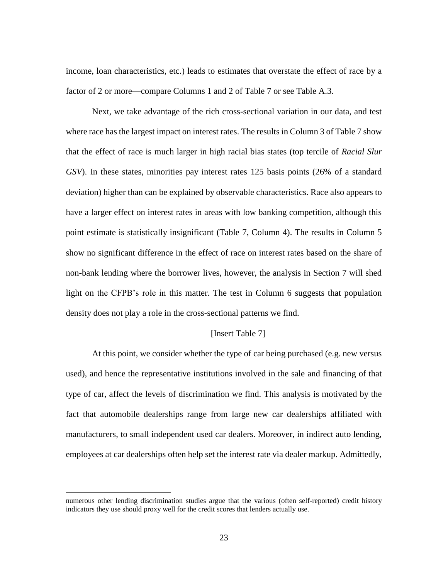income, loan characteristics, etc.) leads to estimates that overstate the effect of race by a factor of 2 or more—compare Columns 1 and 2 of Table 7 or see Table A.3.

 Next, we take advantage of the rich cross-sectional variation in our data, and test where race has the largest impact on interest rates. The results in Column 3 of Table 7 show have a larger effect on interest rates in areas with low banking competition, although this point estimate is statistically insignificant (Table 7, Column 4). The results in Column 5 non-bank lending where the borrower lives, however, the analysis in Section 7 will shed that the effect of race is much larger in high racial bias states (top tercile of *Racial Slur GSV*). In these states, minorities pay interest rates 125 basis points (26% of a standard deviation) higher than can be explained by observable characteristics. Race also appears to show no significant difference in the effect of race on interest rates based on the share of light on the CFPB's role in this matter. The test in Column 6 suggests that population density does not play a role in the cross-sectional patterns we find.

# [Insert Table 7]

 At this point, we consider whether the type of car being purchased (e.g. new versus fact that automobile dealerships range from large new car dealerships affiliated with used), and hence the representative institutions involved in the sale and financing of that type of car, affect the levels of discrimination we find. This analysis is motivated by the manufacturers, to small independent used car dealers. Moreover, in indirect auto lending, employees at car dealerships often help set the interest rate via dealer markup. Admittedly,

numerous other lending discrimination studies argue that the various (often self-reported) credit history indicators they use should proxy well for the credit scores that lenders actually use.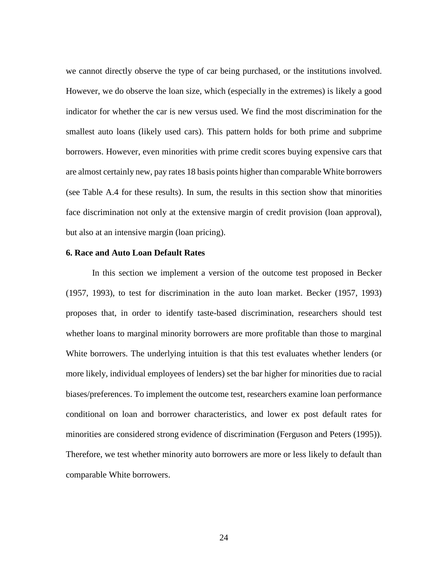we cannot directly observe the type of car being purchased, or the institutions involved. However, we do observe the loan size, which (especially in the extremes) is likely a good indicator for whether the car is new versus used. We find the most discrimination for the borrowers. However, even minorities with prime credit scores buying expensive cars that are almost certainly new, pay rates 18 basis points higher than comparable White borrowers (see Table A.4 for these results). In sum, the results in this section show that minorities smallest auto loans (likely used cars). This pattern holds for both prime and subprime face discrimination not only at the extensive margin of credit provision (loan approval), but also at an intensive margin (loan pricing).

# **6. Race and Auto Loan Default Rates**

 whether loans to marginal minority borrowers are more profitable than those to marginal more likely, individual employees of lenders) set the bar higher for minorities due to racial biases/preferences. To implement the outcome test, researchers examine loan performance conditional on loan and borrower characteristics, and lower ex post default rates for Therefore, we test whether minority auto borrowers are more or less likely to default than In this section we implement a version of the outcome test proposed in Becker (1957, 1993), to test for discrimination in the auto loan market. Becker (1957, 1993) proposes that, in order to identify taste-based discrimination, researchers should test White borrowers. The underlying intuition is that this test evaluates whether lenders (or minorities are considered strong evidence of discrimination (Ferguson and Peters (1995)). comparable White borrowers.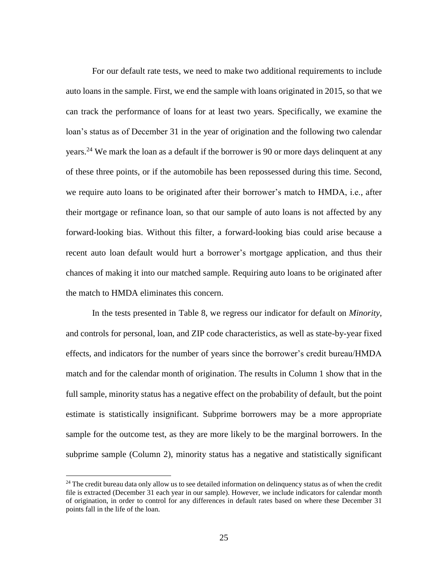For our default rate tests, we need to make two additional requirements to include auto loans in the sample. First, we end the sample with loans originated in 2015, so that we can track the performance of loans for at least two years. Specifically, we examine the loan's status as of December 31 in the year of origination and the following two calendar years.<sup>24</sup> We mark the loan as a default if the borrower is 90 or more days delinquent at any of these three points, or if the automobile has been repossessed during this time. Second, we require auto loans to be originated after their borrower's match to HMDA, i.e., after their mortgage or refinance loan, so that our sample of auto loans is not affected by any forward-looking bias. Without this filter, a forward-looking bias could arise because a chances of making it into our matched sample. Requiring auto loans to be originated after recent auto loan default would hurt a borrower's mortgage application, and thus their the match to HMDA eliminates this concern.

 and controls for personal, loan, and ZIP code characteristics, as well as state-by-year fixed full sample, minority status has a negative effect on the probability of default, but the point estimate is statistically insignificant. Subprime borrowers may be a more appropriate sample for the outcome test, as they are more likely to be the marginal borrowers. In the subprime sample (Column 2), minority status has a negative and statistically significant In the tests presented in Table 8, we regress our indicator for default on *Minority*, effects, and indicators for the number of years since the borrower's credit bureau/HMDA match and for the calendar month of origination. The results in Column 1 show that in the

<sup>&</sup>lt;sup>24</sup> The credit bureau data only allow us to see detailed information on delinquency status as of when the credit file is extracted (December 31 each year in our sample). However, we include indicators for calendar month of origination, in order to control for any differences in default rates based on where these December 31 points fall in the life of the loan.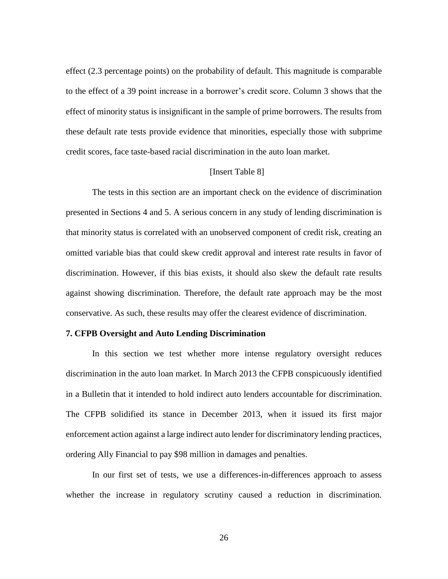to the effect of a 39 point increase in a borrower's credit score. Column 3 shows that the effect of minority status is insignificant in the sample of prime borrowers. The results from these default rate tests provide evidence that minorities, especially those with subprime effect (2.3 percentage points) on the probability of default. This magnitude is comparable credit scores, face taste-based racial discrimination in the auto loan market.

# [Insert Table 8]

 against showing discrimination. Therefore, the default rate approach may be the most The tests in this section are an important check on the evidence of discrimination presented in Sections 4 and 5. A serious concern in any study of lending discrimination is that minority status is correlated with an unobserved component of credit risk, creating an omitted variable bias that could skew credit approval and interest rate results in favor of discrimination. However, if this bias exists, it should also skew the default rate results conservative. As such, these results may offer the clearest evidence of discrimination.

# **7. CFPB Oversight and Auto Lending Discrimination**

 in a Bulletin that it intended to hold indirect auto lenders accountable for discrimination. The CFPB solidified its stance in December 2013, when it issued its first major enforcement action against a large indirect auto lender for discriminatory lending practices, In this section we test whether more intense regulatory oversight reduces discrimination in the auto loan market. In March 2013 the CFPB conspicuously identified ordering Ally Financial to pay \$98 million in damages and penalties.

 In our first set of tests, we use a differences-in-differences approach to assess whether the increase in regulatory scrutiny caused a reduction in discrimination.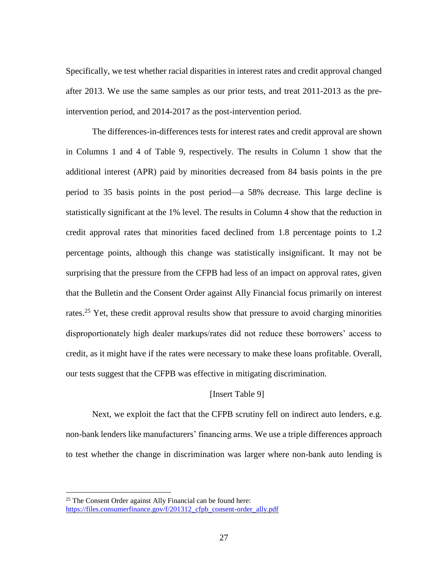Specifically, we test whether racial disparities in interest rates and credit approval changed after 2013. We use the same samples as our prior tests, and treat 2011-2013 as the preintervention period, and 2014-2017 as the post-intervention period.

 period to 35 basis points in the post period—a 58% decrease. This large decline is percentage points, although this change was statistically insignificant. It may not be that the Bulletin and the Consent Order against Ally Financial focus primarily on interest rates.<sup>25</sup> Yet, these credit approval results show that pressure to avoid charging minorities disproportionately high dealer markups/rates did not reduce these borrowers' access to The differences-in-differences tests for interest rates and credit approval are shown in Columns 1 and 4 of Table 9, respectively. The results in Column 1 show that the additional interest (APR) paid by minorities decreased from 84 basis points in the pre statistically significant at the 1% level. The results in Column 4 show that the reduction in credit approval rates that minorities faced declined from 1.8 percentage points to 1.2 surprising that the pressure from the CFPB had less of an impact on approval rates, given credit, as it might have if the rates were necessary to make these loans profitable. Overall, our tests suggest that the CFPB was effective in mitigating discrimination.

# [Insert Table 9]

 Next, we exploit the fact that the CFPB scrutiny fell on indirect auto lenders, e.g. non-bank lenders like manufacturers' financing arms. We use a triple differences approach to test whether the change in discrimination was larger where non-bank auto lending is

<sup>&</sup>lt;sup>25</sup> The Consent Order against Ally Financial can be found here: https://files.consumerfinance.gov/f/201312\_cfpb\_consent-order\_ally.pdf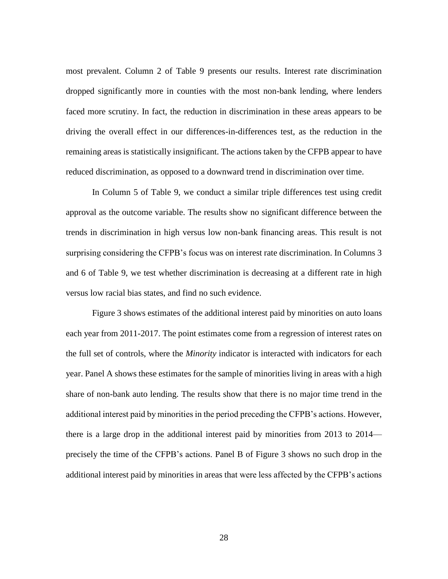driving the overall effect in our differences-in-differences test, as the reduction in the most prevalent. Column 2 of Table 9 presents our results. Interest rate discrimination dropped significantly more in counties with the most non-bank lending, where lenders faced more scrutiny. In fact, the reduction in discrimination in these areas appears to be remaining areas is statistically insignificant. The actions taken by the CFPB appear to have reduced discrimination, as opposed to a downward trend in discrimination over time.

 surprising considering the CFPB's focus was on interest rate discrimination. In Columns 3 and 6 of Table 9, we test whether discrimination is decreasing at a different rate in high In Column 5 of Table 9, we conduct a similar triple differences test using credit approval as the outcome variable. The results show no significant difference between the trends in discrimination in high versus low non-bank financing areas. This result is not versus low racial bias states, and find no such evidence.

 each year from 2011-2017. The point estimates come from a regression of interest rates on year. Panel A shows these estimates for the sample of minorities living in areas with a high share of non-bank auto lending. The results show that there is no major time trend in the there is a large drop in the additional interest paid by minorities from 2013 to 2014— Figure 3 shows estimates of the additional interest paid by minorities on auto loans the full set of controls, where the *Minority* indicator is interacted with indicators for each additional interest paid by minorities in the period preceding the CFPB's actions. However, precisely the time of the CFPB's actions. Panel B of Figure 3 shows no such drop in the additional interest paid by minorities in areas that were less affected by the CFPB's actions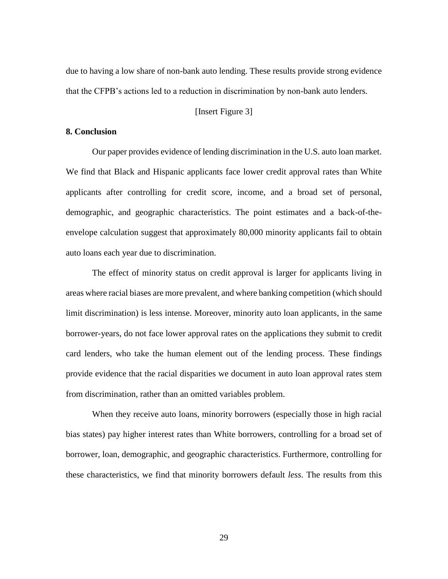due to having a low share of non-bank auto lending. These results provide strong evidence that the CFPB's actions led to a reduction in discrimination by non-bank auto lenders.

#### [Insert Figure 3]

# **8. Conclusion**

 Our paper provides evidence of lending discrimination in the U.S. auto loan market. We find that Black and Hispanic applicants face lower credit approval rates than White applicants after controlling for credit score, income, and a broad set of personal, demographic, and geographic characteristics. The point estimates and a back-of-the- envelope calculation suggest that approximately 80,000 minority applicants fail to obtain auto loans each year due to discrimination.

 areas where racial biases are more prevalent, and where banking competition (which should card lenders, who take the human element out of the lending process. These findings The effect of minority status on credit approval is larger for applicants living in limit discrimination) is less intense. Moreover, minority auto loan applicants, in the same borrower-years, do not face lower approval rates on the applications they submit to credit provide evidence that the racial disparities we document in auto loan approval rates stem from discrimination, rather than an omitted variables problem.

 When they receive auto loans, minority borrowers (especially those in high racial bias states) pay higher interest rates than White borrowers, controlling for a broad set of borrower, loan, demographic, and geographic characteristics. Furthermore, controlling for these characteristics, we find that minority borrowers default *less*. The results from this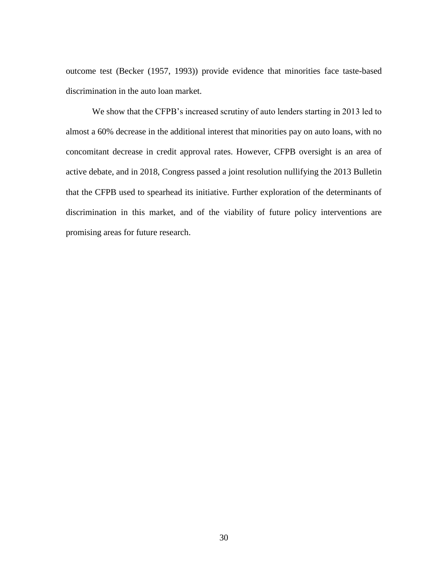outcome test (Becker (1957, 1993)) provide evidence that minorities face taste-based discrimination in the auto loan market.

 concomitant decrease in credit approval rates. However, CFPB oversight is an area of discrimination in this market, and of the viability of future policy interventions are We show that the CFPB's increased scrutiny of auto lenders starting in 2013 led to almost a 60% decrease in the additional interest that minorities pay on auto loans, with no active debate, and in 2018, Congress passed a joint resolution nullifying the 2013 Bulletin that the CFPB used to spearhead its initiative. Further exploration of the determinants of promising areas for future research.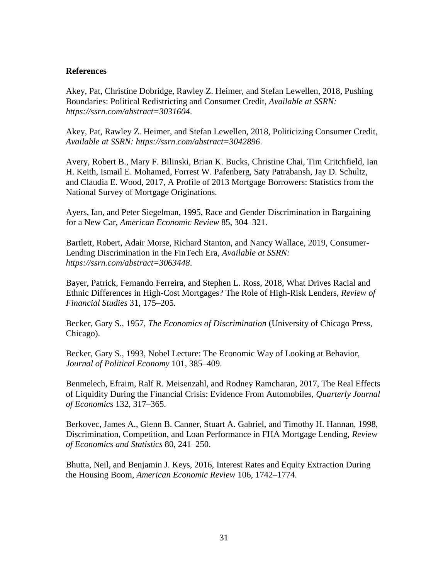# **References**

Akey, Pat, Christine Dobridge, Rawley Z. Heimer, and Stefan Lewellen, 2018, Pushing Boundaries: Political Redistricting and Consumer Credit, *Available at SSRN: https://ssrn.com/abstract=3031604*.

Akey, Pat, Rawley Z. Heimer, and Stefan Lewellen, 2018, Politicizing Consumer Credit, *Available at SSRN: https://ssrn.com/abstract=3042896*.

Avery, Robert B., Mary F. Bilinski, Brian K. Bucks, Christine Chai, Tim Critchfield, Ian H. Keith, Ismail E. Mohamed, Forrest W. Pafenberg, Saty Patrabansh, Jay D. Schultz, and Claudia E. Wood, 2017, A Profile of 2013 Mortgage Borrowers: Statistics from the National Survey of Mortgage Originations.

Ayers, Ian, and Peter Siegelman, 1995, Race and Gender Discrimination in Bargaining for a New Car, *American Economic Review* 85, 304–321.

Bartlett, Robert, Adair Morse, Richard Stanton, and Nancy Wallace, 2019, Consumer-Lending Discrimination in the FinTech Era, *Available at SSRN: https://ssrn.com/abstract=3063448*.

Bayer, Patrick, Fernando Ferreira, and Stephen L. Ross, 2018, What Drives Racial and Ethnic Differences in High-Cost Mortgages? The Role of High-Risk Lenders, *Review of Financial Studies* 31, 175–205.

Becker, Gary S., 1957, *The Economics of Discrimination* (University of Chicago Press, Chicago).

Becker, Gary S., 1993, Nobel Lecture: The Economic Way of Looking at Behavior, *Journal of Political Economy* 101, 385–409.

Benmelech, Efraim, Ralf R. Meisenzahl, and Rodney Ramcharan, 2017, The Real Effects of Liquidity During the Financial Crisis: Evidence From Automobiles, *Quarterly Journal of Economics* 132, 317–365.

Berkovec, James A., Glenn B. Canner, Stuart A. Gabriel, and Timothy H. Hannan, 1998, Discrimination, Competition, and Loan Performance in FHA Mortgage Lending, *Review of Economics and Statistics* 80, 241–250.

Bhutta, Neil, and Benjamin J. Keys, 2016, Interest Rates and Equity Extraction During the Housing Boom, *American Economic Review* 106, 1742–1774.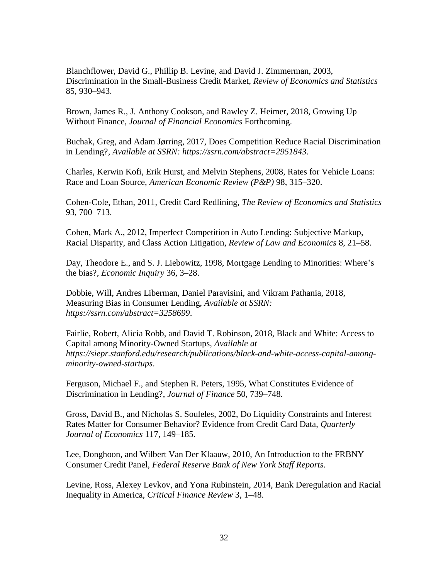Blanchflower, David G., Phillip B. Levine, and David J. Zimmerman, 2003, Discrimination in the Small-Business Credit Market, *Review of Economics and Statistics*  85, 930–943.

Brown, James R., J. Anthony Cookson, and Rawley Z. Heimer, 2018, Growing Up Without Finance, *Journal of Financial Economics* Forthcoming.

Buchak, Greg, and Adam Jørring, 2017, Does Competition Reduce Racial Discrimination in Lending?, *Available at SSRN: https://ssrn.com/abstract=2951843*.

Charles, Kerwin Kofi, Erik Hurst, and Melvin Stephens, 2008, Rates for Vehicle Loans: Race and Loan Source, *American Economic Review (P&P)* 98, 315–320.

Cohen-Cole, Ethan, 2011, Credit Card Redlining, *The Review of Economics and Statistics*  93, 700–713.

Cohen, Mark A., 2012, Imperfect Competition in Auto Lending: Subjective Markup, Racial Disparity, and Class Action Litigation, *Review of Law and Economics* 8, 21–58.

Day, Theodore E., and S. J. Liebowitz, 1998, Mortgage Lending to Minorities: Where's the bias?, *Economic Inquiry* 36, 3–28.

Dobbie, Will, Andres Liberman, Daniel Paravisini, and Vikram Pathania, 2018, Measuring Bias in Consumer Lending, *Available at SSRN: https://ssrn.com/abstract=3258699*.

Fairlie, Robert, Alicia Robb, and David T. Robinson, 2018, Black and White: Access to Capital among Minority-Owned Startups, *Available at https://siepr.stanford.edu/research/publications/black-and-white-access-capital-amongminority-owned-startups*.

Ferguson, Michael F., and Stephen R. Peters, 1995, What Constitutes Evidence of Discrimination in Lending?, *Journal of Finance* 50, 739–748.

Gross, David B., and Nicholas S. Souleles, 2002, Do Liquidity Constraints and Interest Rates Matter for Consumer Behavior? Evidence from Credit Card Data, *Quarterly Journal of Economics* 117, 149–185.

Lee, Donghoon, and Wilbert Van Der Klaauw, 2010, An Introduction to the FRBNY Consumer Credit Panel, *Federal Reserve Bank of New York Staff Reports*.

Levine, Ross, Alexey Levkov, and Yona Rubinstein, 2014, Bank Deregulation and Racial Inequality in America, *Critical Finance Review* 3, 1–48.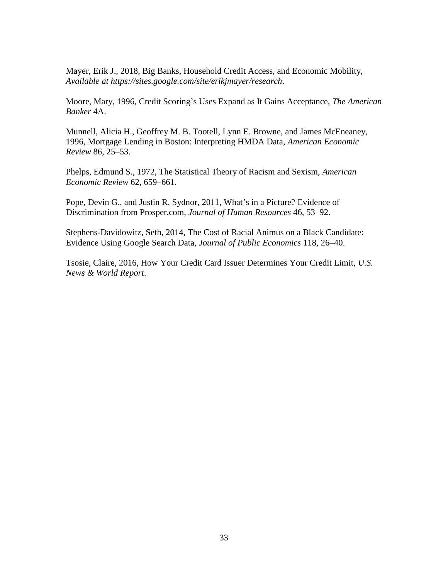Mayer, Erik J., 2018, Big Banks, Household Credit Access, and Economic Mobility, *Available at https://sites.google.com/site/erikjmayer/research*.

Moore, Mary, 1996, Credit Scoring's Uses Expand as It Gains Acceptance, *The American Banker* 4A.

 1996, Mortgage Lending in Boston: Interpreting HMDA Data, *American Economic*  Munnell, Alicia H., Geoffrey M. B. Tootell, Lynn E. Browne, and James McEneaney, *Review* 86, 25–53.

Phelps, Edmund S., 1972, The Statistical Theory of Racism and Sexism, *American Economic Review* 62, 659–661.

Pope, Devin G., and Justin R. Sydnor, 2011, What's in a Picture? Evidence of Discrimination from Prosper.com, *Journal of Human Resources* 46, 53–92.

Stephens-Davidowitz, Seth, 2014, The Cost of Racial Animus on a Black Candidate: Evidence Using Google Search Data, *Journal of Public Economics* 118, 26–40.

Tsosie, Claire, 2016, How Your Credit Card Issuer Determines Your Credit Limit, *U.S. News & World Report*.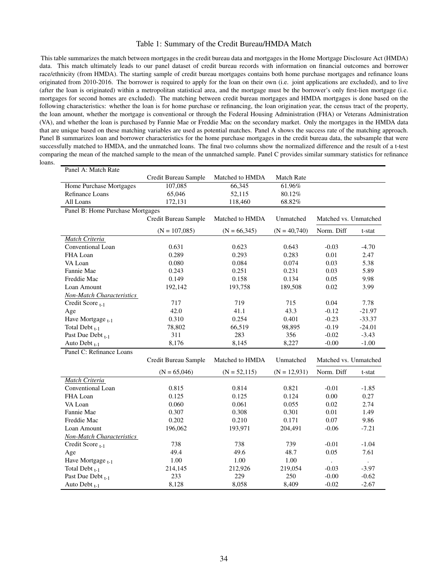#### Table 1: Summary of the Credit Bureau/HMDA Match

This table summarizes the match between mortgages in the credit bureau data and mortgages in the Home Mortgage Disclosure Act (HMDA) data. This match ultimately leads to our panel dataset of credit bureau records with information on fnancial outcomes and borrower race/ethnicity (from HMDA). The starting sample of credit bureau mortgages contains both home purchase mortgages and refnance loans originated from 2010-2016. The borrower is required to apply for the loan on their own (i.e. joint applications are excluded), and to live (after the loan is originated) within a metropolitan statistical area, and the mortgage must be the borrower's only frst-lien mortgage (i.e. mortgages for second homes are excluded). The matching between credit bureau mortgages and HMDA mortgages is done based on the following characteristics: whether the loan is for home purchase or refnancing, the loan origination year, the census tract of the property, the loan amount, whether the mortgage is conventional or through the Federal Housing Administration (FHA) or Veterans Administration (VA), and whether the loan is purchased by Fannie Mae or Freddie Mac on the secondary market. Only the mortgages in the HMDA data that are unique based on these matching variables are used as potential matches. Panel A shows the success rate of the matching approach. Panel B summarizes loan and borrower characteristics for the home purchase mortgages in the credit bureau data, the subsample that were successfully matched to HMDA, and the unmatched loans. The fnal two columns show the normalized difference and the result of a t-test comparing the mean of the matched sample to the mean of the unmatched sample. Panel C provides similar summary statistics for refnance loans.

| Panel A: Match Rate              |                      |                 |                   |                       |                |
|----------------------------------|----------------------|-----------------|-------------------|-----------------------|----------------|
|                                  | Credit Bureau Sample | Matched to HMDA | <b>Match Rate</b> |                       |                |
| Home Purchase Mortgages          | 107,085              | 66,345          | 61.96%            |                       |                |
| Refinance Loans                  | 65,046               | 52,115          | 80.12%            |                       |                |
| All Loans                        | 172,131              | 118,460         | 68.82%            |                       |                |
| Panel B: Home Purchase Mortgages |                      |                 |                   |                       |                |
|                                  | Credit Bureau Sample | Matched to HMDA | Unmatched         | Matched vs. Unmatched |                |
|                                  | $(N = 107,085)$      | $(N = 66,345)$  | $(N = 40,740)$    | Norm. Diff            | t-stat         |
| Match Criteria                   |                      |                 |                   |                       |                |
| Conventional Loan                | 0.631                | 0.623           | 0.643             | $-0.03$               | $-4.70$        |
| FHA Loan                         | 0.289                | 0.293           | 0.283             | 0.01                  | 2.47           |
| VA Loan                          | 0.080                | 0.084           | 0.074             | 0.03                  | 5.38           |
| Fannie Mae                       | 0.243                | 0.251           | 0.231             | 0.03                  | 5.89           |
| Freddie Mac                      | 0.149                | 0.158           | 0.134             | 0.05                  | 9.98           |
| Loan Amount                      | 192,142              | 193,758         | 189,508           | 0.02                  | 3.99           |
| Non-Match Characteristics        |                      |                 |                   |                       |                |
| Credit Score t-1                 | 717                  | 719             | 715               | 0.04                  | 7.78           |
| Age                              | 42.0                 | 41.1            | 43.3              | $-0.12$               | $-21.97$       |
| Have Mortgage $_{t-1}$           | 0.310                | 0.254           | 0.401             | $-0.23$               | $-33.37$       |
| Total Debt $_{t-1}$              | 78,802               | 66,519          | 98,895            | $-0.19$               | $-24.01$       |
| Past Due Debt $_{t-1}$           | 311                  | 283             | 356               | $-0.02$               | $-3.43$        |
| Auto Debt <sub>t-1</sub>         | 8,176                | 8,145           | 8,227             | $-0.00$               | $-1.00$        |
| Panel C: Refinance Loans         |                      |                 |                   |                       |                |
|                                  | Credit Bureau Sample | Matched to HMDA | Unmatched         | Matched vs. Unmatched |                |
|                                  | $(N = 65,046)$       | $(N = 52,115)$  | $(N = 12,931)$    | Norm. Diff            | t-stat         |
| Match Criteria                   |                      |                 |                   |                       |                |
| Conventional Loan                | 0.815                | 0.814           | 0.821             | $-0.01$               | $-1.85$        |
| FHA Loan                         | 0.125                | 0.125           | 0.124             | 0.00                  | 0.27           |
| VA Loan                          | 0.060                | 0.061           | 0.055             | 0.02                  | 2.74           |
| Fannie Mae                       | 0.307                | 0.308           | 0.301             | $0.01\,$              | 1.49           |
| Freddie Mac                      | 0.202                | 0.210           | 0.171             | 0.07                  | 9.86           |
| Loan Amount                      | 196,062              | 193,971         | 204,491           | $-0.06$               | $-7.21$        |
| Non-Match Characteristics        |                      |                 |                   |                       |                |
| Credit Score t-1                 | 738                  | 738             | 739               | $-0.01$               | $-1.04$        |
| Age                              | 49.4                 | 49.6            | 48.7              | 0.05                  | 7.61           |
| Have Mortgage $_{t-1}$           | 1.00                 | 1.00            | 1.00              | $\ddot{\phantom{0}}$  | $\blacksquare$ |
| Total Debt $_{t-1}$              | 214,145              | 212,926         | 219,054           | $-0.03$               | $-3.97$        |
| Past Due Debt $_{t-1}$           | 233                  | 229             | 250               | $-0.00$               | $-0.62$        |
| Auto Debt $_{t-1}$               | 8,128                | 8,058           | 8,409             | $-0.02$               | $-2.67$        |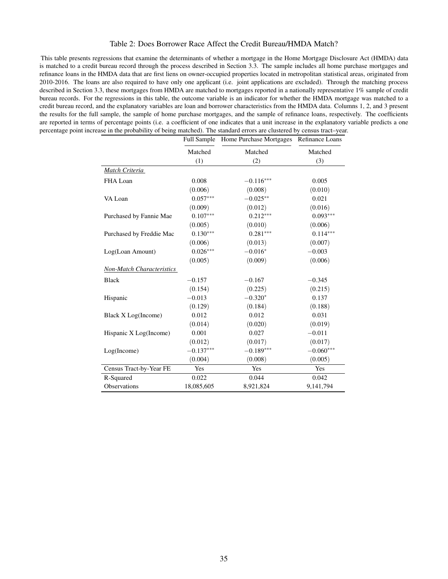#### Table 2: Does Borrower Race Affect the Credit Bureau/HMDA Match?

This table presents regressions that examine the determinants of whether a mortgage in the Home Mortgage Disclosure Act (HMDA) data is matched to a credit bureau record through the process described in Section 3.3. The sample includes all home purchase mortgages and refnance loans in the HMDA data that are frst liens on owner-occupied properties located in metropolitan statistical areas, originated from 2010-2016. The loans are also required to have only one applicant (i.e. joint applications are excluded). Through the matching process described in Section 3.3, these mortgages from HMDA are matched to mortgages reported in a nationally representative 1% sample of credit bureau records. For the regressions in this table, the outcome variable is an indicator for whether the HMDA mortgage was matched to a credit bureau record, and the explanatory variables are loan and borrower characteristics from the HMDA data. Columns 1, 2, and 3 present the results for the full sample, the sample of home purchase mortgages, and the sample of refnance loans, respectively. The coeffcients are reported in terms of percentage points (i.e. a coefficient of one indicates that a unit increase in the explanatory variable predicts a one percentage point increase in the probability of being matched). The standard errors are clustered by census tract–year.

|                                  |             | Full Sample Home Purchase Mortgages Refinance Loans |             |
|----------------------------------|-------------|-----------------------------------------------------|-------------|
|                                  | Matched     | Matched                                             | Matched     |
|                                  | (1)         | (2)                                                 | (3)         |
| Match Criteria                   |             |                                                     |             |
| FHA Loan                         | 0.008       | $-0.116***$                                         | 0.005       |
|                                  | (0.006)     | (0.008)                                             | (0.010)     |
| VA Loan                          | $0.057***$  | $-0.025**$                                          | 0.021       |
|                                  | (0.009)     | (0.012)                                             | (0.016)     |
| Purchased by Fannie Mae          | $0.107***$  | $0.212***$                                          | $0.093***$  |
|                                  | (0.005)     | (0.010)                                             | (0.006)     |
| Purchased by Freddie Mac         | $0.130***$  | $0.281***$                                          | $0.114***$  |
|                                  | (0.006)     | (0.013)                                             | (0.007)     |
| Log(Loan Amount)                 | $0.026***$  | $-0.016*$                                           | $-0.003$    |
|                                  | (0.005)     | (0.009)                                             | (0.006)     |
| <b>Non-Match Characteristics</b> |             |                                                     |             |
| <b>Black</b>                     | $-0.157$    | $-0.167$                                            | $-0.345$    |
|                                  | (0.154)     | (0.225)                                             | (0.215)     |
| Hispanic                         | $-0.013$    | $-0.320*$                                           | 0.137       |
|                                  | (0.129)     | (0.184)                                             | (0.188)     |
| Black X Log(Income)              | 0.012       | 0.012                                               | 0.031       |
|                                  | (0.014)     | (0.020)                                             | (0.019)     |
| Hispanic X Log(Income)           | 0.001       | 0.027                                               | $-0.011$    |
|                                  | (0.012)     | (0.017)                                             | (0.017)     |
| Log(Income)                      | $-0.137***$ | $-0.189***$                                         | $-0.060***$ |
|                                  | (0.004)     | (0.008)                                             | (0.005)     |
| Census Tract-by-Year FE          | Yes         | Yes                                                 | Yes         |
| R-Squared                        | 0.022       | 0.044                                               | 0.042       |
| Observations                     | 18,085,605  | 8,921,824                                           | 9,141,794   |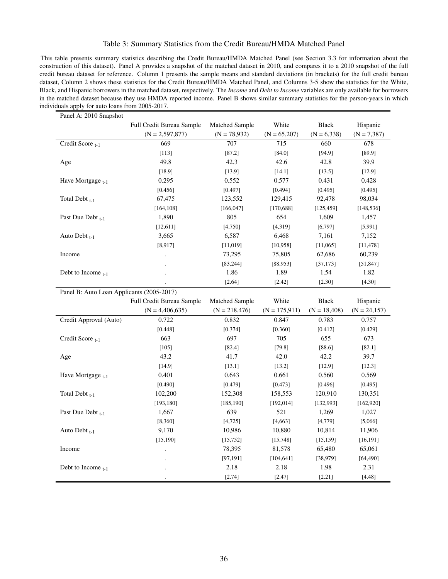### Table 3: Summary Statistics from the Credit Bureau/HMDA Matched Panel

This table presents summary statistics describing the Credit Bureau/HMDA Matched Panel (see Section 3.3 for information about the construction of this dataset). Panel A provides a snapshot of the matched dataset in 2010, and compares it to a 2010 snapshot of the full credit bureau dataset for reference. Column 1 presents the sample means and standard deviations (in brackets) for the full credit bureau dataset, Column 2 shows these statistics for the Credit Bureau/HMDA Matched Panel, and Columns 3-5 show the statistics for the White, Black, and Hispanic borrowers in the matched dataset, respectively. The *Income* and *Debt to Income* variables are only available for borrowers in the matched dataset because they use HMDA reported income. Panel B shows similar summary statistics for the person-years in which individuals apply for auto loans from 2005-2017.

| Panel A: 2010 Snapshot  |                                           |                 |                  |                |                 |  |  |
|-------------------------|-------------------------------------------|-----------------|------------------|----------------|-----------------|--|--|
|                         | Full Credit Bureau Sample                 | Matched Sample  | White            | <b>Black</b>   | Hispanic        |  |  |
|                         | $(N = 2,597,877)$                         | $(N = 78,932)$  | $(N = 65,207)$   | $(N = 6,338)$  | $(N = 7,387)$   |  |  |
| Credit Score t-1        | 669                                       | 707             | 715              | 660            | 678             |  |  |
|                         | [113]                                     | [87.2]          | [84.0]           | [94.9]         | [89.9]          |  |  |
| Age                     | 49.8                                      | 42.3            | 42.6             | 42.8           | 39.9            |  |  |
|                         | [18.9]                                    | [13.9]          | [14.1]           | [13.5]         | [12.9]          |  |  |
| Have Mortgage $_{t-1}$  | 0.295                                     | 0.552           | 0.577            | 0.431          | 0.428           |  |  |
|                         | [0.456]                                   | [0.497]         | [0.494]          | [0.495]        | [0.495]         |  |  |
| Total Debt $_{t-1}$     | 67,475                                    | 123,552         | 129,415          | 92,478         | 98,034          |  |  |
|                         | [164, 108]                                | [166, 047]      | [170, 688]       | [125, 459]     | [148, 536]      |  |  |
| Past Due Debt t-1       | 1,890                                     | 805             | 654              | 1,609          | 1,457           |  |  |
|                         | [12,611]                                  | [4, 750]        | [4,319]          | [6, 797]       | [5,991]         |  |  |
| Auto Debt $_{t-1}$      | 3,665                                     | 6,587           | 6,468            | 7,161          | 7,152           |  |  |
|                         | [8, 917]                                  | [11, 019]       | [10, 958]        | [11,065]       | [11, 478]       |  |  |
| Income                  |                                           | 73,295          | 75,805           | 62,686         | 60,239          |  |  |
|                         |                                           | [83, 244]       | [88, 953]        | [37, 173]      | [51, 847]       |  |  |
| Debt to Income $_{t-1}$ |                                           | 1.86            | 1.89             | 1.54           | 1.82            |  |  |
|                         |                                           | [2.64]          | [2.42]           | [2.30]         | [4.30]          |  |  |
|                         | Panel B: Auto Loan Applicants (2005-2017) |                 |                  |                |                 |  |  |
|                         |                                           |                 |                  |                |                 |  |  |
|                         | Full Credit Bureau Sample                 | Matched Sample  | White            | <b>Black</b>   | Hispanic        |  |  |
|                         | $(N = 4,406,635)$                         | $(N = 218,476)$ | $(N = 175, 911)$ | $(N = 18,408)$ | $(N = 24, 157)$ |  |  |
| Credit Approval (Auto)  | 0.722                                     | 0.832           | 0.847            | 0.783          | 0.757           |  |  |
|                         | [0.448]                                   | [0.374]         | [0.360]          | [0.412]        | [0.429]         |  |  |
| Credit Score t-1        | 663                                       | 697             | 705              | 655            | 673             |  |  |
|                         | $[105]$                                   | [82.4]          | [79.8]           | [88.6]         | [82.1]          |  |  |
| Age                     | 43.2                                      | 41.7            | 42.0             | 42.2           | 39.7            |  |  |
|                         | [14.9]                                    | [13.1]          | [13.2]           | [12.9]         | [12.3]          |  |  |
| Have Mortgage $_{t-1}$  | 0.401                                     | 0.643           | 0.661            | 0.560          | 0.569           |  |  |
|                         | [0.490]                                   | [0.479]         | [0.473]          | [0.496]        | [0.495]         |  |  |
| Total Debt $_{t-1}$     | 102,200                                   | 152,308         | 158,553          | 120,910        | 130,351         |  |  |
|                         | [193, 180]                                | [185, 190]      | [192, 014]       | [132,993]      | [162,920]       |  |  |
| Past Due Debt $_{t-1}$  | 1,667                                     | 639             | 521              | 1,269          | 1,027           |  |  |
|                         | [8,360]                                   | [4, 725]        | [4,663]          | [4, 779]       | [5,066]         |  |  |
| Auto Debt $_{t-1}$      | 9,170                                     | 10,986          | 10,880           | 10,814         | 11,906          |  |  |
|                         | [15, 190]                                 | [15, 752]       | [15, 748]        | [15, 159]      | [16, 191]       |  |  |
| Income                  |                                           | 78,395          | 81,578           | 65,480         | 65,061          |  |  |
|                         |                                           | [97, 191]       | [104, 641]       | [38, 979]      | [64, 490]       |  |  |
| Debt to Income $_{t-1}$ |                                           | 2.18            | 2.18             | 1.98           | 2.31            |  |  |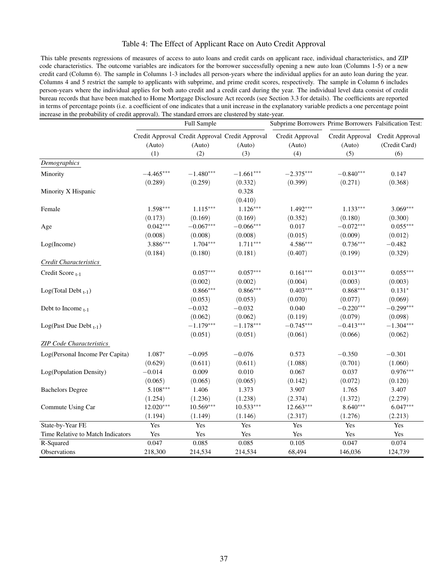#### Table 4: The Effect of Applicant Race on Auto Credit Approval

This table presents regressions of measures of access to auto loans and credit cards on applicant race, individual characteristics, and ZIP code characteristics. The outcome variables are indicators for the borrower successfully opening a new auto loan (Columns 1-5) or a new credit card (Column 6). The sample in Columns 1-3 includes all person-years where the individual applies for an auto loan during the year. Columns 4 and 5 restrict the sample to applicants with subprime, and prime credit scores, respectively. The sample in Column 6 includes person-years where the individual applies for both auto credit and a credit card during the year. The individual level data consist of credit bureau records that have been matched to Home Mortgage Disclosure Act records (see Section 3.3 for details). The coefficients are reported in terms of percentage points (i.e. a coeffcient of one indicates that a unit increase in the explanatory variable predicts a one percentage point increase in the probability of credit approval). The standard errors are clustered by state-year.

|                                   | Full Sample |             | Subprime Borrowers Prime Borrowers Falsification Test:    |                           |                           |                                  |
|-----------------------------------|-------------|-------------|-----------------------------------------------------------|---------------------------|---------------------------|----------------------------------|
|                                   | (Auto)      | (Auto)      | Credit Approval Credit Approval Credit Approval<br>(Auto) | Credit Approval<br>(Auto) | Credit Approval<br>(Auto) | Credit Approval<br>(Credit Card) |
|                                   | (1)         | (2)         | (3)                                                       | (4)                       | (5)                       | (6)                              |
| Demographics                      |             |             |                                                           |                           |                           |                                  |
| Minority                          | $-4.465***$ | $-1.480***$ | $-1.661***$                                               | $-2.375***$               | $-0.840***$               | 0.147                            |
|                                   | (0.289)     | (0.259)     | (0.332)                                                   | (0.399)                   | (0.271)                   | (0.368)                          |
| Minority X Hispanic               |             |             | 0.328                                                     |                           |                           |                                  |
|                                   |             |             | (0.410)                                                   |                           |                           |                                  |
| Female                            | $1.598***$  | $1.115***$  | $1.126***$                                                | $1.492***$                | $1.133***$                | $3.069***$                       |
|                                   | (0.173)     | (0.169)     | (0.169)                                                   | (0.352)                   | (0.180)                   | (0.300)                          |
| Age                               | $0.042***$  | $-0.067***$ | $-0.066***$                                               | 0.017                     | $-0.072***$               | $0.055***$                       |
|                                   | (0.008)     | (0.008)     | (0.008)                                                   | (0.015)                   | (0.009)                   | (0.012)                          |
| Log(Income)                       | $3.886***$  | $1.704***$  | $1.711***$                                                | 4.586***                  | $0.736***$                | $-0.482$                         |
|                                   | (0.184)     | (0.180)     | (0.181)                                                   | (0.407)                   | (0.199)                   | (0.329)                          |
| <b>Credit Characteristics</b>     |             |             |                                                           |                           |                           |                                  |
| Credit Score t-1                  |             | $0.057***$  | $0.057***$                                                | $0.161***$                | $0.013***$                | $0.055***$                       |
|                                   |             | (0.002)     | (0.002)                                                   | (0.004)                   | (0.003)                   | (0.003)                          |
| $Log(Total Debt_{t-1})$           |             | $0.866***$  | $0.866***$                                                | $0.403***$                | $0.868***$                | $0.131*$                         |
|                                   |             | (0.053)     | (0.053)                                                   | (0.070)                   | (0.077)                   | (0.069)                          |
| Debt to Income $_{t-1}$           |             | $-0.032$    | $-0.032$                                                  | 0.040                     | $-0.220***$               | $-0.299***$                      |
|                                   |             | (0.062)     | (0.062)                                                   | (0.119)                   | (0.079)                   | (0.098)                          |
| Log(Past Due Debt $_{t-1}$ )      |             | $-1.179***$ | $-1.178***$                                               | $-0.745***$               | $-0.413***$               | $-1.304***$                      |
|                                   |             | (0.051)     | (0.051)                                                   | (0.061)                   | (0.066)                   | (0.062)                          |
| <b>ZIP Code Characteristics</b>   |             |             |                                                           |                           |                           |                                  |
| Log(Personal Income Per Capita)   | $1.087*$    | $-0.095$    | $-0.076$                                                  | 0.573                     | $-0.350$                  | $-0.301$                         |
|                                   | (0.629)     | (0.611)     | (0.611)                                                   | (1.088)                   | (0.701)                   | (1.060)                          |
| Log(Population Density)           | $-0.014$    | 0.009       | 0.010                                                     | 0.067                     | 0.037                     | $0.976***$                       |
|                                   | (0.065)     | (0.065)     | (0.065)                                                   | (0.142)                   | (0.072)                   | (0.120)                          |
| <b>Bachelors Degree</b>           | $5.108***$  | 1.406       | 1.373                                                     | 3.907                     | 1.765                     | 3.407                            |
|                                   | (1.254)     | (1.236)     | (1.238)                                                   | (2.374)                   | (1.372)                   | (2.279)                          |
| Commute Using Car                 | $12.020***$ | $10.569***$ | $10.533***$                                               | $12.663***$               | $8.640***$                | $6.047***$                       |
|                                   | (1.194)     | (1.149)     | (1.146)                                                   | (2.317)                   | (1.276)                   | (2.213)                          |
| State-by-Year FE                  | Yes         | Yes         | Yes                                                       | Yes                       | Yes                       | Yes                              |
| Time Relative to Match Indicators | Yes         | Yes         | Yes                                                       | Yes                       | Yes                       | Yes                              |
| R-Squared                         | 0.047       | 0.085       | 0.085                                                     | 0.105                     | 0.047                     | 0.074                            |
| Observations                      | 218,300     | 214,534     | 214,534                                                   | 68,494                    | 146,036                   | 124,739                          |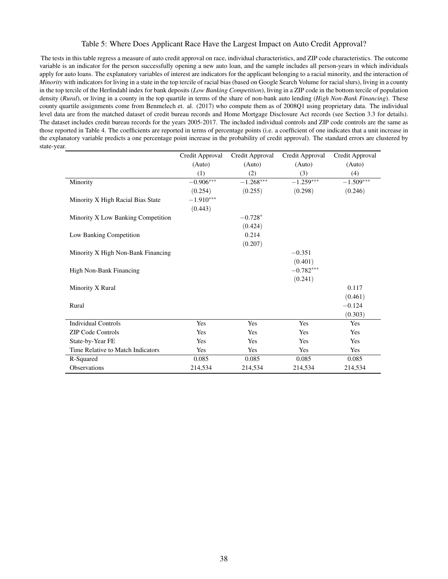#### Table 5: Where Does Applicant Race Have the Largest Impact on Auto Credit Approval?

The tests in this table regress a measure of auto credit approval on race, individual characteristics, and ZIP code characteristics. The outcome variable is an indicator for the person successfully opening a new auto loan, and the sample includes all person-years in which individuals apply for auto loans. The explanatory variables of interest are indicators for the applicant belonging to a racial minority, and the interaction of *Minority* with indicators for living in a state in the top tercile of racial bias (based on Google Search Volume for racial slurs), living in a county in the top tercile of the Herfndahl index for bank deposits (*Low Banking Competition*), living in a ZIP code in the bottom tercile of population density (*Rural*), or living in a county in the top quartile in terms of the share of non-bank auto lending (*High Non-Bank Financing*). These county quartile assignments come from Benmelech et. al. (2017) who compute them as of 2008Q1 using proprietary data. The individual level data are from the matched dataset of credit bureau records and Home Mortgage Disclosure Act records (see Section 3.3 for details). The dataset includes credit bureau records for the years 2005-2017. The included individual controls and ZIP code controls are the same as those reported in Table 4. The coeffcients are reported in terms of percentage points (i.e. a coeffcient of one indicates that a unit increase in the explanatory variable predicts a one percentage point increase in the probability of credit approval). The standard errors are clustered by state-year.

|                                    | Credit Approval | Credit Approval | Credit Approval | Credit Approval |
|------------------------------------|-----------------|-----------------|-----------------|-----------------|
|                                    | (Auto)          | (Auto)          | (Auto)          | (Auto)          |
|                                    | (1)             | (2)             | (3)             | (4)             |
| Minority                           | $-0.906***$     | $-1.268***$     | $-1.259***$     | $-1.509***$     |
|                                    | (0.254)         | (0.255)         | (0.298)         | (0.246)         |
| Minority X High Racial Bias State  | $-1.910***$     |                 |                 |                 |
|                                    | (0.443)         |                 |                 |                 |
| Minority X Low Banking Competition |                 | $-0.728*$       |                 |                 |
|                                    |                 | (0.424)         |                 |                 |
| Low Banking Competition            |                 | 0.214           |                 |                 |
|                                    |                 | (0.207)         |                 |                 |
| Minority X High Non-Bank Financing |                 |                 | $-0.351$        |                 |
|                                    |                 |                 | (0.401)         |                 |
| High Non-Bank Financing            |                 |                 | $-0.782***$     |                 |
|                                    |                 |                 | (0.241)         |                 |
| Minority X Rural                   |                 |                 |                 | 0.117           |
|                                    |                 |                 |                 | (0.461)         |
| Rural                              |                 |                 |                 | $-0.124$        |
|                                    |                 |                 |                 | (0.303)         |
| <b>Individual Controls</b>         | Yes             | Yes             | Yes             | Yes             |
|                                    |                 |                 |                 |                 |
| <b>ZIP Code Controls</b>           | Yes             | Yes             | Yes             | Yes             |
| State-by-Year FE                   | Yes             | Yes             | Yes             | Yes             |
| Time Relative to Match Indicators  | Yes             | Yes             | Yes             | Yes             |
| R-Squared                          | 0.085           | 0.085           | 0.085           | 0.085           |
| Observations                       | 214,534         | 214,534         | 214,534         | 214,534         |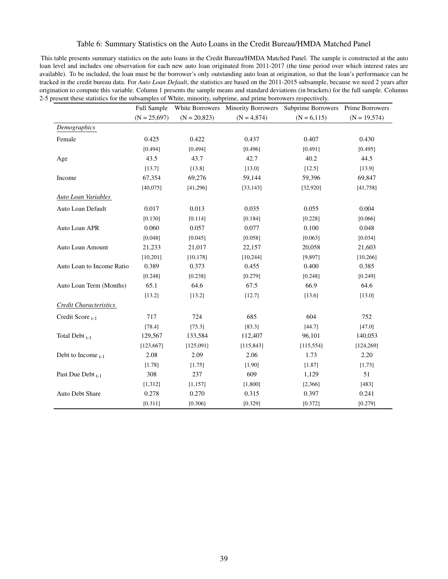#### Table 6: Summary Statistics on the Auto Loans in the Credit Bureau/HMDA Matched Panel

This table presents summary statistics on the auto loans in the Credit Bureau/HMDA Matched Panel. The sample is constructed at the auto loan level and includes one observation for each new auto loan originated from 2011-2017 (the time period over which interest rates are available). To be included, the loan must be the borrower's only outstanding auto loan at origination, so that the loan's performance can be tracked in the credit bureau data. For *Auto Loan Default*, the statistics are based on the 2011-2015 subsample, because we need 2 years after origination to compute this variable. Column 1 presents the sample means and standard deviations (in brackets) for the full sample. Columns 2-5 present these statistics for the subsamples of White, minority, subprime, and prime borrowers respectively.

|                           | Full Sample    | White Borrowers |               | Minority Borrowers Subprime Borrowers | <b>Prime Borrowers</b> |
|---------------------------|----------------|-----------------|---------------|---------------------------------------|------------------------|
|                           | $(N = 25,697)$ | $(N = 20,823)$  | $(N = 4,874)$ | $(N = 6, 115)$                        | $(N = 19, 574)$        |
| Demographics              |                |                 |               |                                       |                        |
| Female                    | 0.425          | 0.422           | 0.437         | 0.407                                 | 0.430                  |
|                           | [0.494]        | [0.494]         | [0.496]       | [0.491]                               | [0.495]                |
| Age                       | 43.5           | 43.7            | 42.7          | 40.2                                  | 44.5                   |
|                           | [13.7]         | [13.8]          | [13.0]        | [12.5]                                | [13.9]                 |
| Income                    | 67,354         | 69,276          | 59,144        | 59,396                                | 69,847                 |
|                           | [40,075]       | [41, 296]       | [33, 143]     | [32, 920]                             | [41,758]               |
| Auto Loan Variables       |                |                 |               |                                       |                        |
| Auto Loan Default         | 0.017          | 0.013           | 0.035         | 0.055                                 | 0.004                  |
|                           | [0.130]        | [0.114]         | [0.184]       | [0.228]                               | [0.066]                |
| Auto Loan APR             | 0.060          | 0.057           | 0.077         | 0.100                                 | 0.048                  |
|                           | [0.048]        | [0.045]         | [0.058]       | [0.063]                               | [0.034]                |
| Auto Loan Amount          | 21,233         | 21,017          | 22,157        | 20,058                                | 21,603                 |
|                           | [10, 201]      | [10, 178]       | [10, 244]     | [9, 897]                              | [10, 266]              |
| Auto Loan to Income Ratio | 0.389          | 0.373           | 0.455         | 0.400                                 | 0.385                  |
|                           | [0.248]        | [0.238]         | [0.279]       | [0.248]                               | [0.249]                |
| Auto Loan Term (Months)   | 65.1           | 64.6            | 67.5          | 66.9                                  | 64.6                   |
|                           | [13.2]         | [13.2]          | [12.7]        | [13.6]                                | [13.0]                 |
| Credit Characteristics    |                |                 |               |                                       |                        |
| Credit Score $_{t-1}$     | 717            | 724             | 685           | 604                                   | 752                    |
|                           | [78.4]         | [75.3]          | [83.3]        | [44.7]                                | [47.0]                 |
| Total Debt $_{t-1}$       | 129,567        | 133,584         | 112,407       | 96,101                                | 140,053                |
|                           | [123, 667]     | [125,091]       | [115, 843]    | [115, 554]                            | [124, 269]             |
| Debt to Income $_{t-1}$   | 2.08           | 2.09            | 2.06          | 1.73                                  | 2.20                   |
|                           | [1.78]         | [1.75]          | [1.90]        | [1.87]                                | [1.73]                 |
| Past Due Debt $_{t-1}$    | 308            | 237             | 609           | 1,129                                 | 51                     |
|                           | [1, 312]       | [1, 157]        | [1,800]       | [2,366]                               | [483]                  |
| Auto Debt Share           | 0.278          | 0.270           | 0.315         | 0.397                                 | 0.241                  |
|                           | [0.311]        | [0.306]         | [0.329]       | [0.372]                               | [0.279]                |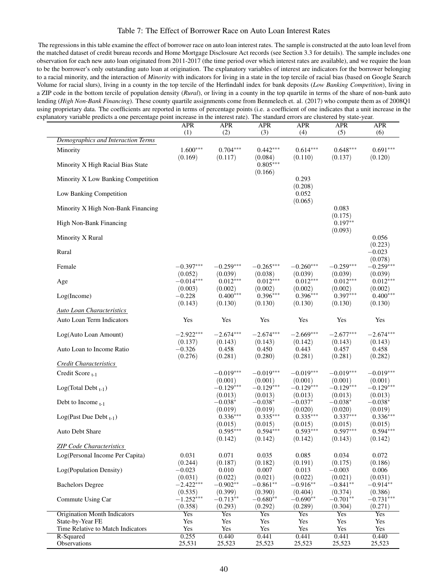#### Table 7: The Effect of Borrower Race on Auto Loan Interest Rates

The regressions in this table examine the effect of borrower race on auto loan interest rates. The sample is constructed at the auto loan level from the matched dataset of credit bureau records and Home Mortgage Disclosure Act records (see Section 3.3 for details). The sample includes one observation for each new auto loan originated from 2011-2017 (the time period over which interest rates are available), and we require the loan to be the borrower's only outstanding auto loan at origination. The explanatory variables of interest are indicators for the borrower belonging to a racial minority, and the interaction of *Minority* with indicators for living in a state in the top tercile of racial bias (based on Google Search Volume for racial slurs), living in a county in the top tercile of the Herfndahl index for bank deposits (*Low Banking Competition*), living in a ZIP code in the bottom tercile of population density (*Rural*), or living in a county in the top quartile in terms of the share of non-bank auto lending (*High Non-Bank Financing*). These county quartile assignments come from Benmelech et. al. (2017) who compute them as of 2008Q1 using proprietary data. The coefficients are reported in terms of percentage points (i.e. a coefficient of one indicates that a unit increase in the explanatory variable predicts a one percentage point increase in the interest rate). The standard errors are clustered by state-year.

| variable predicts a one percentage point mercase in the interest rate). The standard errors are enastered by state year. | APR                    | <b>APR</b>                       | <b>APR</b>                       | <b>APR</b>                       | APR                              | <b>APR</b>                       |
|--------------------------------------------------------------------------------------------------------------------------|------------------------|----------------------------------|----------------------------------|----------------------------------|----------------------------------|----------------------------------|
|                                                                                                                          | (1)                    | (2)                              | (3)                              | (4)                              | (5)                              | (6)                              |
| <b>Demographics and Interaction Terms</b>                                                                                |                        |                                  |                                  |                                  |                                  |                                  |
| Minority                                                                                                                 | $1.600***$<br>(0.169)  | $0.704***$<br>(0.117)            | $0.442***$<br>(0.084)            | $0.614***$<br>(0.110)            | $0.648***$<br>(0.137)            | $0.691***$<br>(0.120)            |
| Minority X High Racial Bias State                                                                                        |                        |                                  | $0.805***$<br>(0.166)            |                                  |                                  |                                  |
| Minority X Low Banking Competition                                                                                       |                        |                                  |                                  | 0.293<br>(0.208)                 |                                  |                                  |
| Low Banking Competition                                                                                                  |                        |                                  |                                  | 0.052<br>(0.065)                 |                                  |                                  |
| Minority X High Non-Bank Financing                                                                                       |                        |                                  |                                  |                                  | 0.083<br>(0.175)                 |                                  |
| High Non-Bank Financing                                                                                                  |                        |                                  |                                  |                                  | $0.197**$<br>(0.093)             |                                  |
| Minority X Rural                                                                                                         |                        |                                  |                                  |                                  |                                  | 0.056<br>(0.223)                 |
| Rural                                                                                                                    |                        |                                  |                                  |                                  |                                  | $-0.023$<br>(0.078)              |
| Female                                                                                                                   | $-0.397***$<br>(0.052) | $-0.259***$<br>(0.039)           | $-0.265***$<br>(0.038)           | $-0.260***$<br>(0.039)           | $-0.259***$<br>(0.039)           | $-0.259***$<br>(0.039)           |
| Age                                                                                                                      | $-0.014***$            | $0.012***$                       | $0.012***$                       | $0.012***$                       | $0.012***$                       | $0.012***$                       |
| Log(Income)                                                                                                              | (0.003)<br>$-0.228$    | (0.002)<br>$0.400***$            | (0.002)<br>$0.396***$            | (0.002)<br>$0.396***$            | (0.002)<br>$0.397***$            | (0.002)<br>$0.400***$            |
| <b>Auto Loan Characteristics</b>                                                                                         | (0.143)                | (0.130)                          | (0.130)                          | (0.130)                          | (0.130)                          | (0.130)                          |
| Auto Loan Term Indicators                                                                                                | Yes                    | Yes                              | Yes                              | Yes                              | Yes                              | Yes                              |
| Log(Auto Loan Amount)                                                                                                    | $-2.922***$<br>(0.137) | $-2.674***$<br>(0.143)           | $-2.674***$<br>(0.143)           | $-2.669***$<br>(0.142)           | $-2.677***$<br>(0.143)           | $-2.674***$<br>(0.143)           |
| Auto Loan to Income Ratio                                                                                                | $-0.326$<br>(0.276)    | 0.458<br>(0.281)                 | 0.450<br>(0.280)                 | 0.443<br>(0.281)                 | 0.457<br>(0.281)                 | 0.458<br>(0.282)                 |
| Credit Characteristics                                                                                                   |                        |                                  |                                  |                                  |                                  |                                  |
| Credit Score $_{t-1}$                                                                                                    |                        | $-0.019***$                      | $-0.019***$                      | $-0.019***$                      | $-0.019***$                      | $-0.019***$                      |
| $Log(Total Debt_{t-1})$                                                                                                  |                        | (0.001)<br>$-0.129***$           | (0.001)<br>$-0.129***$           | (0.001)<br>$-0.129***$           | (0.001)<br>$-0.129***$           | (0.001)<br>$-0.129***$           |
| Debt to Income $_{t-1}$                                                                                                  |                        | (0.013)<br>$-0.038*$             | (0.013)<br>$-0.038*$             | (0.013)<br>$-0.037*$             | (0.013)<br>$-0.038*$             | (0.013)<br>$-0.038*$             |
| Log(Past Due Debt $_{t-1}$ )                                                                                             |                        | (0.019)<br>$0.336***$<br>(0.015) | (0.019)<br>$0.335***$<br>(0.015) | (0.020)<br>$0.335***$<br>(0.015) | (0.020)<br>$0.337***$<br>(0.015) | (0.019)<br>$0.336***$<br>(0.015) |
| <b>Auto Debt Share</b>                                                                                                   |                        | $0.595***$<br>(0.142)            | $0.594***$<br>(0.142)            | $0.593***$<br>(0.142)            | $0.597***$<br>(0.143)            | $0.594***$<br>(0.142)            |
| <b>ZIP Code Characteristics</b>                                                                                          |                        |                                  |                                  |                                  |                                  |                                  |
| Log(Personal Income Per Capita)                                                                                          | 0.031<br>(0.244)       | 0.071                            | 0.035                            | 0.085                            | 0.034<br>(0.175)                 | 0.072                            |
| Log(Population Density)                                                                                                  | $-0.023$               | (0.187)<br>0.010                 | (0.182)<br>0.007                 | (0.191)<br>0.013                 | $-0.003$                         | (0.186)<br>0.006                 |
| <b>Bachelors Degree</b>                                                                                                  | (0.031)<br>$-2.422***$ | (0.022)<br>$-0.902**$            | (0.021)<br>$-0.861**$            | (0.022)<br>$-0.916**$            | (0.021)<br>$-0.841**$            | (0.031)<br>$-0.914**$            |
| Commute Using Car                                                                                                        | (0.535)<br>$-1.252***$ | (0.399)<br>$-0.713**$            | (0.390)<br>$-0.680**$            | (0.404)<br>$-0.690**$            | (0.374)<br>$-0.701**$            | (0.386)<br>$-0.731***$           |
| <b>Origination Month Indicators</b>                                                                                      | (0.358)<br>Yes         | (0.293)<br>Yes                   | (0.292)<br>Yes                   | (0.289)<br>Yes                   | (0.304)<br>Yes                   | (0.271)<br>Yes                   |
| State-by-Year FE                                                                                                         | Yes                    | Yes                              | Yes                              | Yes                              | Yes                              | Yes                              |
| Time Relative to Match Indicators                                                                                        | Yes                    | Yes                              | Yes                              | Yes                              | Yes                              | Yes                              |
| R-Squared                                                                                                                | 0.255                  | 0.440                            | 0.441                            | 0.441                            | 0.441                            | 0.440                            |
| Observations                                                                                                             | 25,531                 | 25,523                           | 25,523                           | 25,523                           | 25,523                           | 25,523                           |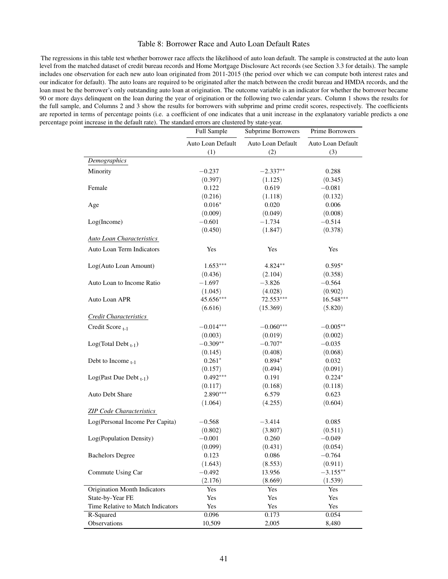#### Table 8: Borrower Race and Auto Loan Default Rates

The regressions in this table test whether borrower race affects the likelihood of auto loan default. The sample is constructed at the auto loan level from the matched dataset of credit bureau records and Home Mortgage Disclosure Act records (see Section 3.3 for details). The sample includes one observation for each new auto loan originated from 2011-2015 (the period over which we can compute both interest rates and our indicator for default). The auto loans are required to be originated after the match between the credit bureau and HMDA records, and the loan must be the borrower's only outstanding auto loan at origination. The outcome variable is an indicator for whether the borrower became 90 or more days delinquent on the loan during the year of origination or the following two calendar years. Column 1 shows the results for the full sample, and Columns 2 and 3 show the results for borrowers with subprime and prime credit scores, respectively. The coeffcients are reported in terms of percentage points (i.e. a coeffcient of one indicates that a unit increase in the explanatory variable predicts a one percentage point increase in the default rate). The standard errors are clustered by state-year. ÷.

|                                   | <b>Full Sample</b>       | Subprime Borrowers       | <b>Prime Borrowers</b>   |  |
|-----------------------------------|--------------------------|--------------------------|--------------------------|--|
|                                   | Auto Loan Default<br>(1) | Auto Loan Default<br>(2) | Auto Loan Default<br>(3) |  |
| Demographics                      |                          |                          |                          |  |
| Minority                          | $-0.237$                 | $-2.337**$               | 0.288                    |  |
|                                   | (0.397)                  | (1.125)                  | (0.345)                  |  |
| Female                            | 0.122                    | 0.619                    | $-0.081$                 |  |
|                                   | (0.216)                  | (1.118)                  | (0.132)                  |  |
| Age                               | $0.016*$                 | 0.020                    | 0.006                    |  |
|                                   | (0.009)                  | (0.049)                  | (0.008)                  |  |
| Log(Income)                       | $-0.601$                 | $-1.734$                 | $-0.514$                 |  |
|                                   | (0.450)                  | (1.847)                  | (0.378)                  |  |
| <b>Auto Loan Characteristics</b>  |                          |                          |                          |  |
| Auto Loan Term Indicators         | Yes                      | Yes                      | Yes                      |  |
| Log(Auto Loan Amount)             | $1.653***$               | 4.824**                  | $0.595*$                 |  |
|                                   | (0.436)                  | (2.104)                  | (0.358)                  |  |
| Auto Loan to Income Ratio         | $-1.697$                 | $-3.826$                 | $-0.564$                 |  |
|                                   | (1.045)                  | (4.028)                  | (0.902)                  |  |
| Auto Loan APR                     | 45.656***                | 72.553***                | 16.548***                |  |
|                                   | (6.616)                  | (15.369)                 | (5.820)                  |  |
| Credit Characteristics            |                          |                          |                          |  |
| Credit Score $_{t-1}$             | $-0.014***$              | $-0.060***$              | $-0.005**$               |  |
|                                   | (0.003)                  | (0.019)                  | (0.002)                  |  |
| Log(Total Debt $_{t-1}$ )         | $-0.309**$               | $-0.707*$                | $-0.035$                 |  |
|                                   | (0.145)                  | (0.408)                  | (0.068)                  |  |
| Debt to Income $_{t-1}$           | $0.261*$                 | $0.894*$                 | 0.032                    |  |
|                                   | (0.157)                  | (0.494)                  | (0.091)                  |  |
| Log(Past Due Debt $_{t-1}$ )      | $0.492***$               | 0.191                    | $0.224*$                 |  |
|                                   | (0.117)                  | (0.168)                  | (0.118)                  |  |
| Auto Debt Share                   | $2.890***$               | 6.579                    | 0.623                    |  |
|                                   | (1.064)                  | (4.255)                  | (0.604)                  |  |
| <b>ZIP Code Characteristics</b>   |                          |                          |                          |  |
| Log(Personal Income Per Capita)   | $-0.568$                 | $-3.414$                 | 0.085                    |  |
|                                   | (0.802)                  | (3.807)                  | (0.511)                  |  |
| Log(Population Density)           | $-0.001$                 | 0.260                    | $-0.049$                 |  |
|                                   | (0.099)                  | (0.431)                  | (0.054)                  |  |
| <b>Bachelors Degree</b>           | 0.123                    | 0.086                    | $-0.764$                 |  |
|                                   | (1.643)                  | (8.553)                  | (0.911)                  |  |
| Commute Using Car                 | $-0.492$                 | 13.956                   | $-3.155***$              |  |
|                                   | (2.176)                  | (8.669)                  | (1.539)                  |  |
| Origination Month Indicators      | Yes                      | Yes                      | Yes                      |  |
| State-by-Year FE                  | Yes                      | Yes                      | Yes                      |  |
| Time Relative to Match Indicators | Yes                      | Yes                      | Yes                      |  |
| R-Squared                         | 0.096                    | 0.173                    | 0.054                    |  |
| Observations                      | 10,509                   | 2,005                    | 8,480                    |  |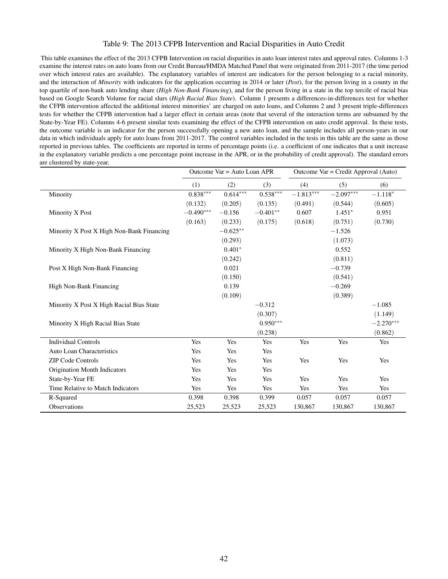#### Table 9: The 2013 CFPB Intervention and Racial Disparities in Auto Credit

This table examines the effect of the 2013 CFPB Intervention on racial disparities in auto loan interest rates and approval rates. Columns 1-3 examine the interest rates on auto loans from our Credit Bureau/HMDA Matched Panel that were originated from 2011-2017 (the time period over which interest rates are available). The explanatory variables of interest are indicators for the person belonging to a racial minority, and the interaction of *Minority* with indicators for the application occurring in 2014 or later (*Post*), for the person living in a county in the top quartile of non-bank auto lending share (*High Non-Bank Financing*), and for the person living in a state in the top tercile of racial bias based on Google Search Volume for racial slurs (*High Racial Bias State*). Column 1 presents a differences-in-differences test for whether the CFPB intervention affected the additional interest minorities' are charged on auto loans, and Columns 2 and 3 present triple-differences tests for whether the CFPB intervention had a larger effect in certain areas (note that several of the interaction terms are subsumed by the State-by-Year FE). Columns 4-6 present similar tests examining the effect of the CFPB intervention on auto credit approval. In these tests, the outcome variable is an indicator for the person successfully opening a new auto loan, and the sample includes all person-years in our data in which individuals apply for auto loans from 2011-2017. The control variables included in the tests in this table are the same as those reported in previous tables. The coeffcients are reported in terms of percentage points (i.e. a coeffcient of one indicates that a unit increase in the explanatory variable predicts a one percentage point increase in the APR, or in the probability of credit approval). The standard errors are clustered by state-year.

|                                           | Outcome $Var = Auto Loan APR$ |            |            | Outcome Var = Credit Approval (Auto) |             |             |
|-------------------------------------------|-------------------------------|------------|------------|--------------------------------------|-------------|-------------|
|                                           | (1)                           | (2)        | (3)        | (4)                                  | (5)         | (6)         |
| Minority                                  | $0.838***$                    | $0.614***$ | $0.538***$ | $-1.813***$                          | $-2.097***$ | $-1.118*$   |
|                                           | (0.132)                       | (0.205)    | (0.135)    | (0.491)                              | (0.544)     | (0.605)     |
| Minority X Post                           | $-0.490***$                   | $-0.156$   | $-0.401**$ | 0.607                                | $1.451*$    | 0.951       |
|                                           | (0.163)                       | (0.233)    | (0.175)    | (0.618)                              | (0.751)     | (0.730)     |
| Minority X Post X High Non-Bank Financing |                               | $-0.625**$ |            |                                      | $-1.526$    |             |
|                                           |                               | (0.293)    |            |                                      | (1.073)     |             |
| Minority X High Non-Bank Financing        |                               | $0.401*$   |            |                                      | 0.552       |             |
|                                           |                               | (0.242)    |            |                                      | (0.811)     |             |
| Post X High Non-Bank Financing            |                               | 0.021      |            |                                      | $-0.739$    |             |
|                                           |                               | (0.150)    |            |                                      | (0.541)     |             |
| High Non-Bank Financing                   |                               | 0.139      |            |                                      | $-0.269$    |             |
|                                           |                               | (0.109)    |            |                                      | (0.389)     |             |
| Minority X Post X High Racial Bias State  |                               |            | $-0.312$   |                                      |             | $-1.085$    |
|                                           |                               |            | (0.307)    |                                      |             | (1.149)     |
| Minority X High Racial Bias State         |                               |            | $0.950***$ |                                      |             | $-2.270***$ |
|                                           |                               |            | (0.238)    |                                      |             | (0.862)     |
| <b>Individual Controls</b>                | Yes                           | Yes        | Yes        | Yes                                  | Yes         | Yes         |
| Auto Loan Characteristics                 | Yes                           | Yes        | Yes        |                                      |             |             |
| <b>ZIP Code Controls</b>                  | Yes                           | Yes        | Yes        | Yes                                  | Yes         | Yes         |
| Origination Month Indicators              | Yes                           | Yes        | Yes        |                                      |             |             |
| State-by-Year FE                          | Yes                           | Yes        | Yes        | Yes                                  | Yes         | Yes         |
| Time Relative to Match Indicators         | Yes                           | Yes        | Yes        | Yes                                  | Yes         | Yes         |
| R-Squared                                 | 0.398                         | 0.398      | 0.399      | 0.057                                | 0.057       | 0.057       |
| Observations                              | 25,523                        | 25,523     | 25,523     | 130,867                              | 130,867     | 130,867     |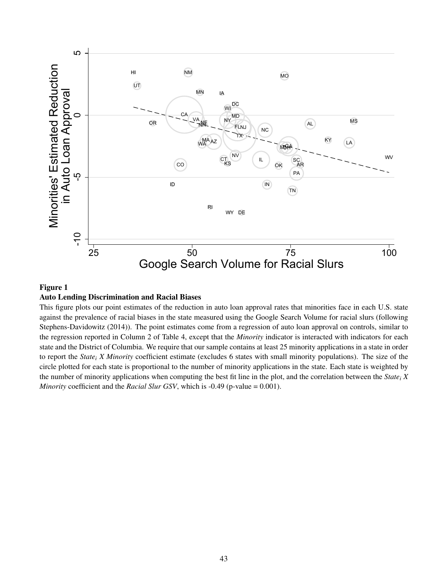

#### Figure 1

### Auto Lending Discrimination and Racial Biases

This figure plots our point estimates of the reduction in auto loan approval rates that minorities face in each U.S. state against the prevalence of racial biases in the state measured using the Google Search Volume for racial slurs (following Stephens-Davidowitz (2014)). The point estimates come from a regression of auto loan approval on controls, similar to the regression reported in Column 2 of Table 4, except that the *Minority* indicator is interacted with indicators for each state and the District of Columbia. We require that our sample contains at least 25 minority applications in a state in order to report the *Statei X Minority* coeffcient estimate (excludes 6 states with small minority populations). The size of the circle plotted for each state is proportional to the number of minority applications in the state. Each state is weighted by the number of minority applications when computing the best ft line in the plot, and the correlation between the *Statei X Minority* coefficient and the *Racial Slur GSV*, which is -0.49 (p-value = 0.001).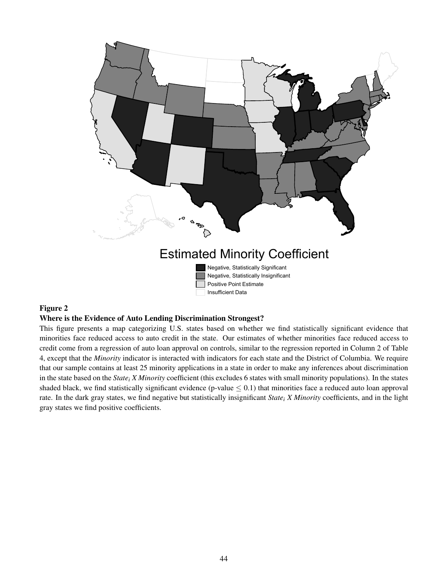

#### Figure 2

#### Where is the Evidence of Auto Lending Discrimination Strongest?

This fgure presents a map categorizing U.S. states based on whether we fnd statistically signifcant evidence that minorities face reduced access to auto credit in the state. Our estimates of whether minorities face reduced access to credit come from a regression of auto loan approval on controls, similar to the regression reported in Column 2 of Table 4, except that the *Minority* indicator is interacted with indicators for each state and the District of Columbia. We require that our sample contains at least 25 minority applications in a state in order to make any inferences about discrimination in the state based on the *State<sub>i</sub> X Minority* coefficient (this excludes 6 states with small minority populations). In the states shaded black, we find statistically significant evidence (p-value  $\leq 0.1$ ) that minorities face a reduced auto loan approval rate. In the dark gray states, we fnd negative but statistically insignifcant *Statei X Minority* coeffcients, and in the light gray states we fnd positive coeffcients.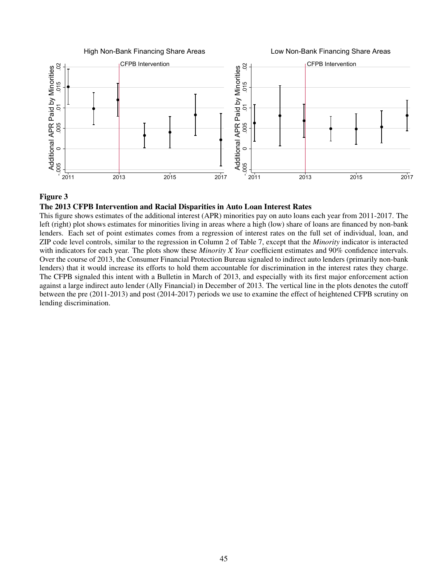$-$ .000 $-$  . The contract of  $-$  . The contract of  $-$  . The contract of  $-$  . The contract of  $-$  . The contract of  $-$ Additional APR Paid by Minorities<br>005 0 005 01 015 02 Additional APR Paid by Minorities<br>
05 005 01<br>
05 005 01<br>
<br>
Additional APR Paid by Minorities<br>
Additional APR Paid by Minorities<br>
05 01<br>
05 01<br>
05 01<br>
05 01<br>
05 01<br>
05 01<br>
05 01<br>
05 01<br>
05 01<br>
05 01 2011 2013 2015 2017 High Non-Bank Financing Share Areas  $C$ FPB Intervention  $\begin{bmatrix} 1 & 1 \end{bmatrix}$   $\begin{bmatrix} 2 & 1 \end{bmatrix}$   $\begin{bmatrix} 1 & 1 \end{bmatrix}$   $\begin{bmatrix} 1 & 1 \end{bmatrix}$   $\begin{bmatrix} 1 & 1 \end{bmatrix}$ -.005 Additional APR Paid by Minorities<br>Canaditional APR Paid by Minorities **EXAMPLARE PAID AND REPORT OF PER INSTRUMENTANCE AND REPORT OF A SCRIPTION**<br> **ACCRECIATION**<br>
CONTROLLER CONTROLLER CONTROLLER<br>
CONTROLLER CONTROLLER CONTROLLER CONTROLLER CONTROLLER CONTROLLER CONTROLLER CONTROLLER CONTROL 2011 2013 2015 2017 Low Non-Bank Financing Share Areas

# Figure 3

# The 2013 CFPB Intervention and Racial Disparities in Auto Loan Interest Rates

This fgure shows estimates of the additional interest (APR) minorities pay on auto loans each year from 2011-2017. The left (right) plot shows estimates for minorities living in areas where a high (low) share of loans are fnanced by non-bank lenders. Each set of point estimates comes from a regression of interest rates on the full set of individual, loan, and ZIP code level controls, similar to the regression in Column 2 of Table 7, except that the *Minority* indicator is interacted with indicators for each year. The plots show these *Minority X Year* coefficient estimates and 90% confidence intervals. Over the course of 2013, the Consumer Financial Protection Bureau signaled to indirect auto lenders (primarily non-bank lenders) that it would increase its efforts to hold them accountable for discrimination in the interest rates they charge. The CFPB signaled this intent with a Bulletin in March of 2013, and especially with its frst major enforcement action against a large indirect auto lender (Ally Financial) in December of 2013. The vertical line in the plots denotes the cutoff between the pre (2011-2013) and post (2014-2017) periods we use to examine the effect of heightened CFPB scrutiny on lending discrimination.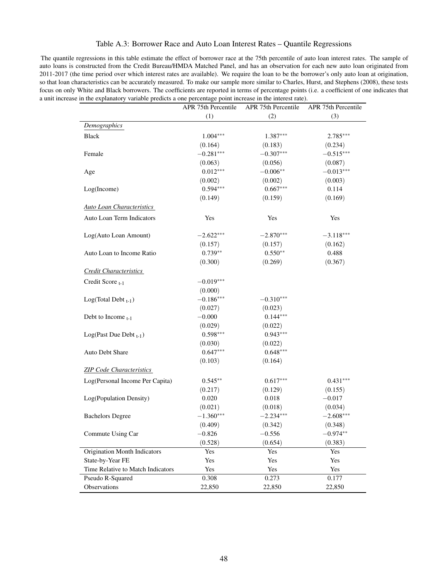## Table A.3: Borrower Race and Auto Loan Interest Rates – Quantile Regressions

The quantile regressions in this table estimate the effect of borrower race at the 75th percentile of auto loan interest rates. The sample of auto loans is constructed from the Credit Bureau/HMDA Matched Panel, and has an observation for each new auto loan originated from 2011-2017 (the time period over which interest rates are available). We require the loan to be the borrower's only auto loan at origination, so that loan characteristics can be accurately measured. To make our sample more similar to Charles, Hurst, and Stephens (2008), these tests focus on only White and Black borrowers. The coeffcients are reported in terms of percentage points (i.e. a coeffcient of one indicates that a unit increase in the explanatory variable predicts a one percentage point increase in the interest rate).

|                                   | APR 75th Percentile | APR 75th Percentile | APR 75th Percentile |
|-----------------------------------|---------------------|---------------------|---------------------|
|                                   | (1)                 | (2)                 | (3)                 |
| Demographics                      |                     |                     |                     |
| <b>Black</b>                      | $1.004***$          | 1.387***            | 2.785***            |
|                                   | (0.164)             | (0.183)             | (0.234)             |
| Female                            | $-0.281***$         | $-0.307***$         | $-0.515***$         |
|                                   | (0.063)             | (0.056)             | (0.087)             |
| Age                               | $0.012***$          | $-0.006**$          | $-0.013***$         |
|                                   | (0.002)             | (0.002)             | (0.003)             |
| Log(Income)                       | $0.594***$          | $0.667***$          | 0.114               |
|                                   | (0.149)             | (0.159)             | (0.169)             |
| <b>Auto Loan Characteristics</b>  |                     |                     |                     |
| Auto Loan Term Indicators         | Yes                 | Yes                 | Yes                 |
| Log(Auto Loan Amount)             | $-2.622***$         | $-2.870***$         | $-3.118***$         |
|                                   | (0.157)             | (0.157)             | (0.162)             |
| Auto Loan to Income Ratio         | $0.739**$           | $0.550**$           | 0.488               |
|                                   | (0.300)             | (0.269)             | (0.367)             |
| <b>Credit Characteristics</b>     |                     |                     |                     |
| Credit Score <sub>t-1</sub>       | $-0.019***$         |                     |                     |
|                                   | (0.000)             |                     |                     |
| $Log(Total Debt_{t-1})$           | $-0.186***$         | $-0.310***$         |                     |
|                                   | (0.027)             | (0.023)             |                     |
| Debt to Income $_{t-1}$           | $-0.000$            | $0.144***$          |                     |
|                                   | (0.029)             | (0.022)             |                     |
| Log(Past Due Debt $_{t-1}$ )      | $0.598***$          | $0.943***$          |                     |
|                                   | (0.030)             | (0.022)             |                     |
| Auto Debt Share                   | $0.647***$          | $0.648***$          |                     |
|                                   | (0.103)             | (0.164)             |                     |
| <b>ZIP Code Characteristics</b>   |                     |                     |                     |
| Log(Personal Income Per Capita)   | $0.545**$           | $0.617***$          | $0.431***$          |
|                                   | (0.217)             | (0.129)             | (0.155)             |
| Log(Population Density)           | 0.020               | 0.018               | $-0.017$            |
|                                   | (0.021)             | (0.018)             | (0.034)             |
| <b>Bachelors Degree</b>           | $-1.360***$         | $-2.234***$         | $-2.608***$         |
|                                   | (0.409)             | (0.342)             | (0.348)             |
| Commute Using Car                 | $-0.826$            | $-0.556$            | $-0.974**$          |
|                                   | (0.528)             | (0.654)             | (0.383)             |
| Origination Month Indicators      | Yes                 | Yes                 | Yes                 |
| State-by-Year FE                  | Yes                 | Yes                 | Yes                 |
| Time Relative to Match Indicators | Yes                 | Yes                 | Yes                 |
| Pseudo R-Squared                  | 0.308               | 0.273               | 0.177               |
| Observations                      | 22,850              | 22,850              | 22,850              |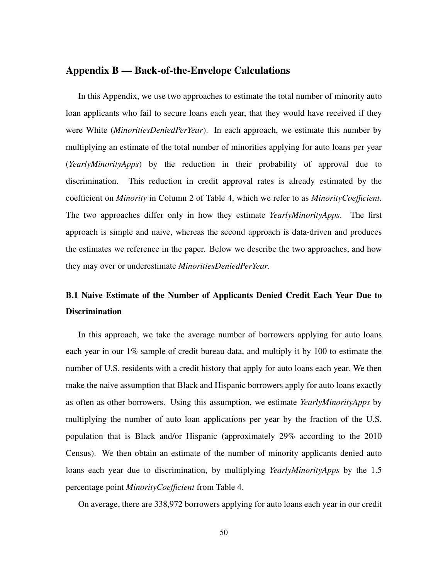# Appendix B — Back-of-the-Envelope Calculations

In this Appendix, we use two approaches to estimate the total number of minority auto loan applicants who fail to secure loans each year, that they would have received if they were White (*MinoritiesDeniedPerYear* ). In each approach, we estimate this number by multiplying an estimate of the total number of minorities applying for auto loans per year (*YearlyMinorityApps*) by the reduction in their probability of approval due to discrimination. This reduction in credit approval rates is already estimated by the coeffcient on *Minority* in Column 2 of Table 4, which we refer to as *MinorityCoeffcient*. The two approaches differ only in how they estimate *YearlyMinorityApps*. The frst approach is simple and naive, whereas the second approach is data-driven and produces the estimates we reference in the paper. Below we describe the two approaches, and how they may over or underestimate *MinoritiesDeniedPerYear*.

# B.1 Naive Estimate of the Number of Applicants Denied Credit Each Year Due to **Discrimination**

In this approach, we take the average number of borrowers applying for auto loans each year in our  $1\%$  sample of credit bureau data, and multiply it by 100 to estimate the number of U.S. residents with a credit history that apply for auto loans each year. We then make the naive assumption that Black and Hispanic borrowers apply for auto loans exactly as often as other borrowers. Using this assumption, we estimate *YearlyMinorityApps* by multiplying the number of auto loan applications per year by the fraction of the U.S. population that is Black and/or Hispanic (approximately 29% according to the 2010 Census). We then obtain an estimate of the number of minority applicants denied auto loans each year due to discrimination, by multiplying *YearlyMinorityApps* by the 1.5 percentage point *MinorityCoeffcient* from Table 4.

On average, there are 338,972 borrowers applying for auto loans each year in our credit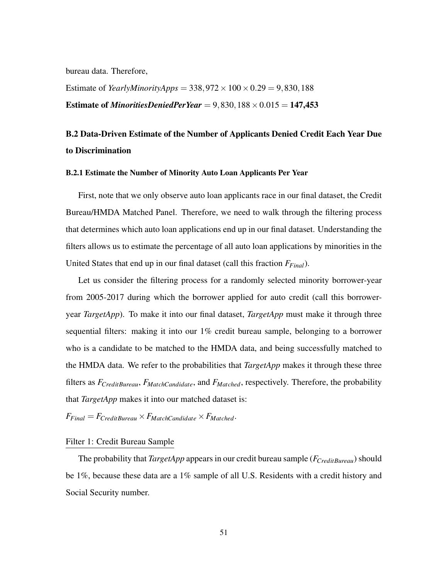bureau data. Therefore,

Estimate of *YearlyMinorityApps* =  $338,972 \times 100 \times 0.29 = 9,830,188$ **Estimate of** *MinoritiesDeniedPerYear* =  $9,830,188 \times 0.015 = 147,453$ 

# B.2 Data-Driven Estimate of the Number of Applicants Denied Credit Each Year Due to Discrimination

#### B.2.1 Estimate the Number of Minority Auto Loan Applicants Per Year

First, note that we only observe auto loan applicants race in our fnal dataset, the Credit Bureau/HMDA Matched Panel. Therefore, we need to walk through the fltering process that determines which auto loan applications end up in our fnal dataset. Understanding the flters allows us to estimate the percentage of all auto loan applications by minorities in the United States that end up in our fnal dataset (call this fraction *FFinal*).

Let us consider the fltering process for a randomly selected minority borrower-year from 2005-2017 during which the borrower applied for auto credit (call this borroweryear *TargetApp*). To make it into our fnal dataset, *TargetApp* must make it through three sequential flters: making it into our 1% credit bureau sample, belonging to a borrower who is a candidate to be matched to the HMDA data, and being successfully matched to the HMDA data. We refer to the probabilities that *TargetApp* makes it through these three flters as *FCreditBureau*, *FMatchCandidate*, and *FMatched*, respectively. Therefore, the probability that *TargetApp* makes it into our matched dataset is:

 $F_{Final} = F_{Credit Bureau} \times F_{MatchC and *k*}$ 

### Filter 1: Credit Bureau Sample

The probability that *TargetApp* appears in our credit bureau sample (*FCreditBureau*) should be 1%, because these data are a 1% sample of all U.S. Residents with a credit history and Social Security number.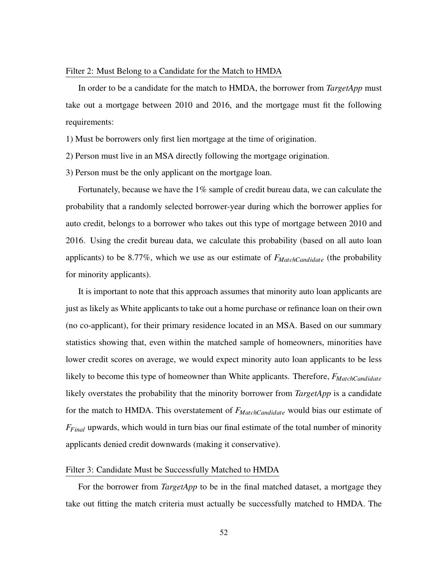#### Filter 2: Must Belong to a Candidate for the Match to HMDA

In order to be a candidate for the match to HMDA, the borrower from *TargetApp* must take out a mortgage between 2010 and 2016, and the mortgage must ft the following requirements:

1) Must be borrowers only frst lien mortgage at the time of origination.

2) Person must live in an MSA directly following the mortgage origination.

3) Person must be the only applicant on the mortgage loan.

Fortunately, because we have the 1% sample of credit bureau data, we can calculate the probability that a randomly selected borrower-year during which the borrower applies for auto credit, belongs to a borrower who takes out this type of mortgage between 2010 and 2016. Using the credit bureau data, we calculate this probability (based on all auto loan applicants) to be 8.77%, which we use as our estimate of *FMatchCandidate* (the probability for minority applicants).

It is important to note that this approach assumes that minority auto loan applicants are just as likely as White applicants to take out a home purchase or refnance loan on their own (no co-applicant), for their primary residence located in an MSA. Based on our summary statistics showing that, even within the matched sample of homeowners, minorities have lower credit scores on average, we would expect minority auto loan applicants to be less likely to become this type of homeowner than White applicants. Therefore,  $F_{MatchCandidate}$ likely overstates the probability that the minority borrower from *TargetApp* is a candidate for the match to HMDA. This overstatement of *FMatchCandidate* would bias our estimate of *FFinal* upwards, which would in turn bias our fnal estimate of the total number of minority applicants denied credit downwards (making it conservative).

# Filter 3: Candidate Must be Successfully Matched to HMDA

For the borrower from *TargetApp* to be in the fnal matched dataset, a mortgage they take out ftting the match criteria must actually be successfully matched to HMDA. The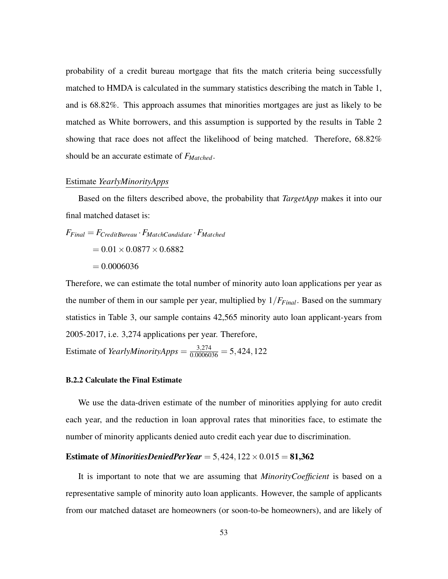probability of a credit bureau mortgage that fts the match criteria being successfully matched to HMDA is calculated in the summary statistics describing the match in Table 1, and is 68.82%. This approach assumes that minorities mortgages are just as likely to be matched as White borrowers, and this assumption is supported by the results in Table 2 showing that race does not affect the likelihood of being matched. Therefore, 68.82% should be an accurate estimate of *FMatched*.

### Estimate *YearlyMinorityApps*

Based on the flters described above, the probability that *TargetApp* makes it into our fnal matched dataset is:

$$
F_{Final} = F_{CreditBureau} \cdot F_{MatchCandidate} \cdot F_{Matched}
$$

$$
= 0.01 \times 0.0877 \times 0.6882
$$

$$
= 0.0006036
$$

Therefore, we can estimate the total number of minority auto loan applications per year as the number of them in our sample per year, multiplied by  $1/F_{Final}$ . Based on the summary statistics in Table 3, our sample contains 42,565 minority auto loan applicant-years from 2005-2017, i.e. 3,274 applications per year. Therefore,

Estimate of *YearlyMinorityApps* =  $\frac{3,274}{0.0006036}$  = 5,424,122

#### B.2.2 Calculate the Final Estimate

We use the data-driven estimate of the number of minorities applying for auto credit each year, and the reduction in loan approval rates that minorities face, to estimate the number of minority applicants denied auto credit each year due to discrimination.

## **Estimate of** *MinoritiesDeniedPerYear* =  $5,424,122 \times 0.015 = 81,362$

It is important to note that we are assuming that *MinorityCoeffcient* is based on a representative sample of minority auto loan applicants. However, the sample of applicants from our matched dataset are homeowners (or soon-to-be homeowners), and are likely of